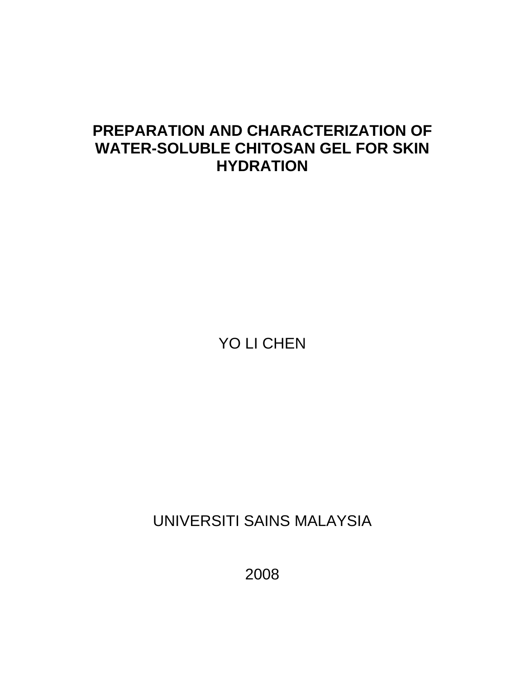# **PREPARATION AND CHARACTERIZATION OF WATER-SOLUBLE CHITOSAN GEL FOR SKIN HYDRATION**

YO LI CHEN

UNIVERSITI SAINS MALAYSIA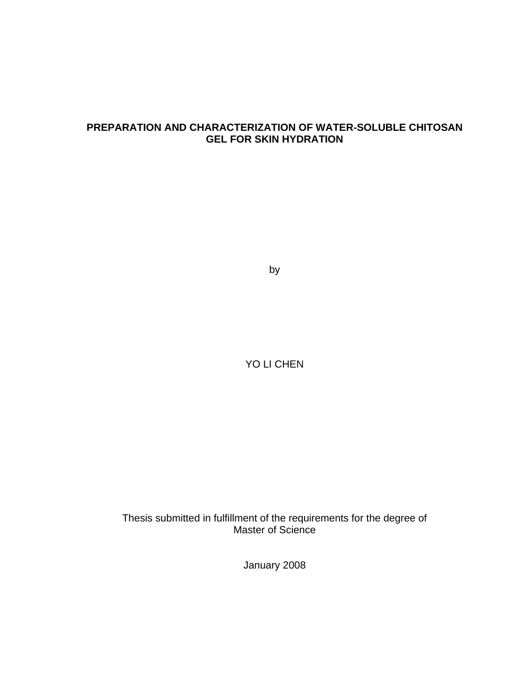# **PREPARATION AND CHARACTERIZATION OF WATER-SOLUBLE CHITOSAN GEL FOR SKIN HYDRATION**

by

YO LI CHEN

Thesis submitted in fulfillment of the requirements for the degree of Master of Science

January 2008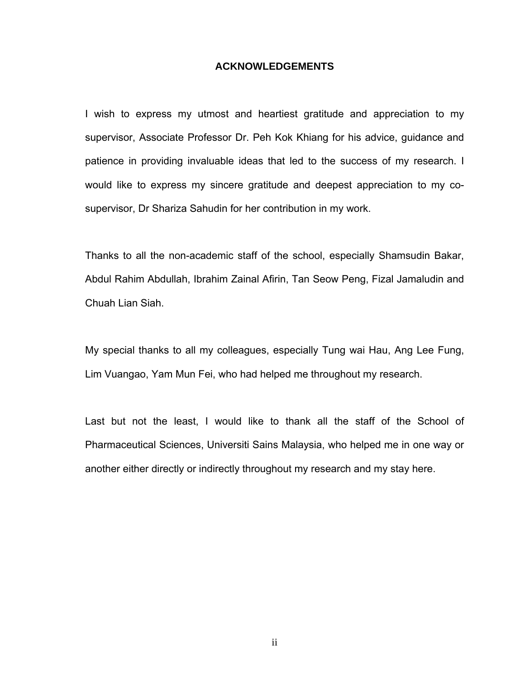#### **ACKNOWLEDGEMENTS**

I wish to express my utmost and heartiest gratitude and appreciation to my supervisor, Associate Professor Dr. Peh Kok Khiang for his advice, guidance and patience in providing invaluable ideas that led to the success of my research. I would like to express my sincere gratitude and deepest appreciation to my cosupervisor, Dr Shariza Sahudin for her contribution in my work.

Thanks to all the non-academic staff of the school, especially Shamsudin Bakar, Abdul Rahim Abdullah, Ibrahim Zainal Afirin, Tan Seow Peng, Fizal Jamaludin and Chuah Lian Siah.

My special thanks to all my colleagues, especially Tung wai Hau, Ang Lee Fung, Lim Vuangao, Yam Mun Fei, who had helped me throughout my research.

Last but not the least, I would like to thank all the staff of the School of Pharmaceutical Sciences, Universiti Sains Malaysia, who helped me in one way or another either directly or indirectly throughout my research and my stay here.

ii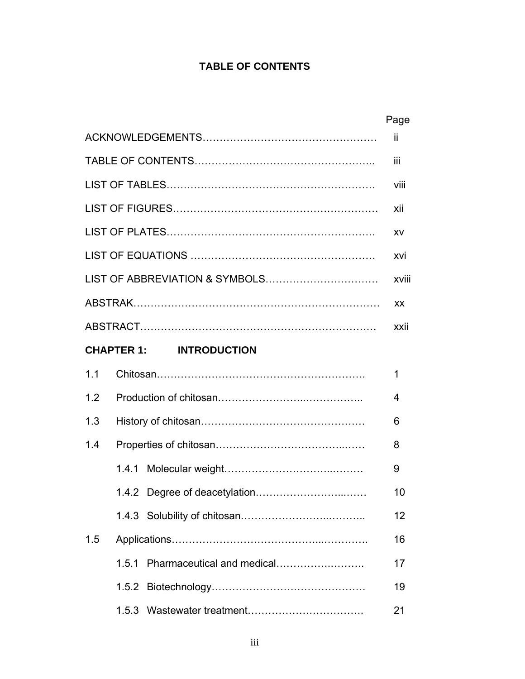# **TABLE OF CONTENTS**

|     |                                     | Page  |
|-----|-------------------------------------|-------|
|     |                                     | jj.   |
|     |                                     | iii   |
|     |                                     | Viii  |
|     |                                     | xii   |
|     |                                     | ХV    |
|     |                                     | xvi   |
|     | LIST OF ABBREVIATION & SYMBOLS      | xviii |
|     |                                     | XX.   |
|     |                                     | xxii  |
|     | <b>CHAPTER 1: INTRODUCTION</b>      |       |
| 1.1 |                                     | 1     |
| 1.2 |                                     | 4     |
| 1.3 |                                     | 6     |
| 1.4 |                                     | 8     |
|     |                                     | 9     |
|     |                                     | 10    |
|     |                                     | 12    |
| 1.5 |                                     | 16    |
|     | Pharmaceutical and medical<br>1.5.1 | 17    |
|     | 1.5.2                               | 19    |
|     | 1.5.3                               | 21    |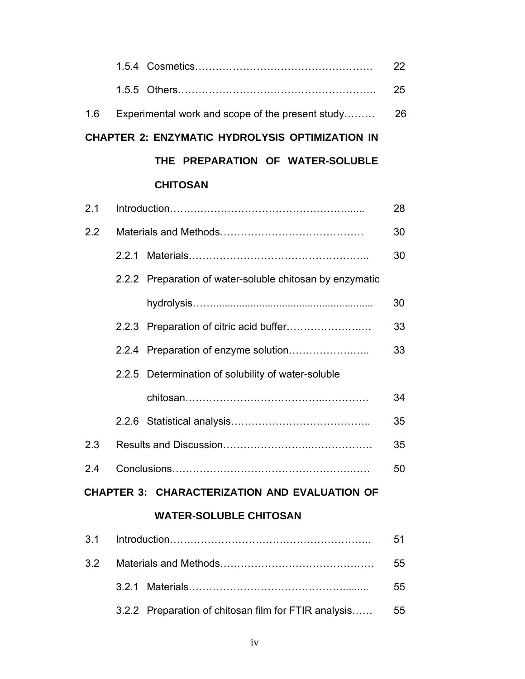|     |                                                          | 22 |
|-----|----------------------------------------------------------|----|
|     | 1.5.5                                                    | 25 |
| 1.6 | Experimental work and scope of the present study         | 26 |
|     | <b>CHAPTER 2: ENZYMATIC HYDROLYSIS OPTIMIZATION IN</b>   |    |
|     | THE PREPARATION OF WATER-SOLUBLE                         |    |
|     | <b>CHITOSAN</b>                                          |    |
| 2.1 |                                                          | 28 |
| 2.2 |                                                          | 30 |
|     | 2.2.1                                                    | 30 |
|     | 2.2.2 Preparation of water-soluble chitosan by enzymatic |    |
|     |                                                          | 30 |
|     |                                                          | 33 |
|     |                                                          | 33 |
|     | 2.2.5 Determination of solubility of water-soluble       |    |
|     |                                                          | 34 |
|     |                                                          | 35 |
| 2.3 |                                                          | 35 |
| 2.4 |                                                          | 50 |
|     | <b>CHAPTER 3: CHARACTERIZATION AND EVALUATION OF</b>     |    |
|     | <b>WATER-SOLUBLE CHITOSAN</b>                            |    |
| 3.1 |                                                          | 51 |
| 3.2 |                                                          | 55 |
|     | 3.2.1                                                    | 55 |
|     | 3.2.2 Preparation of chitosan film for FTIR analysis     | 55 |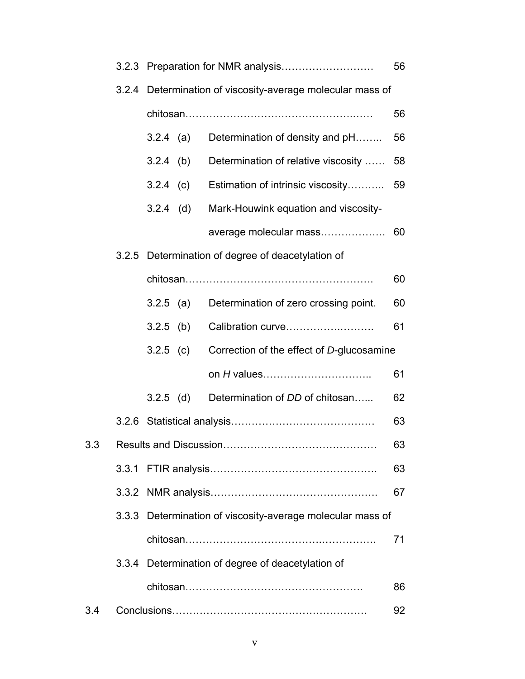|     |       |                                                            |             |                                                            | 56 |
|-----|-------|------------------------------------------------------------|-------------|------------------------------------------------------------|----|
|     |       | 3.2.4 Determination of viscosity-average molecular mass of |             |                                                            |    |
|     |       |                                                            |             |                                                            | 56 |
|     |       | $3.2.4$ (a)                                                |             | Determination of density and pH                            | 56 |
|     |       | $3.2.4$ (b)                                                |             | Determination of relative viscosity                        | 58 |
|     |       |                                                            | $3.2.4$ (c) | Estimation of intrinsic viscosity                          | 59 |
|     |       | $3.2.4$ (d)                                                |             | Mark-Houwink equation and viscosity-                       |    |
|     |       |                                                            |             | average molecular mass                                     | 60 |
|     | 3.2.5 |                                                            |             | Determination of degree of deacetylation of                |    |
|     |       |                                                            |             |                                                            | 60 |
|     |       | $3.2.5$ (a)                                                |             | Determination of zero crossing point.                      | 60 |
|     |       | $3.2.5$ (b)                                                |             | Calibration curve                                          | 61 |
|     |       | $3.2.5$ (c)                                                |             | Correction of the effect of D-glucosamine                  |    |
|     |       |                                                            |             | on H values                                                | 61 |
|     |       | $3.2.5$ (d)                                                |             | Determination of DD of chitosan                            | 62 |
|     |       |                                                            |             |                                                            | 63 |
| 3.3 |       |                                                            |             |                                                            | 63 |
|     |       |                                                            |             |                                                            | 63 |
|     |       |                                                            |             |                                                            | 67 |
|     |       |                                                            |             | 3.3.3 Determination of viscosity-average molecular mass of |    |
|     |       |                                                            |             |                                                            | 71 |
|     |       |                                                            |             | 3.3.4 Determination of degree of deacetylation of          |    |
|     |       |                                                            |             |                                                            | 86 |
| 3.4 |       |                                                            |             |                                                            | 92 |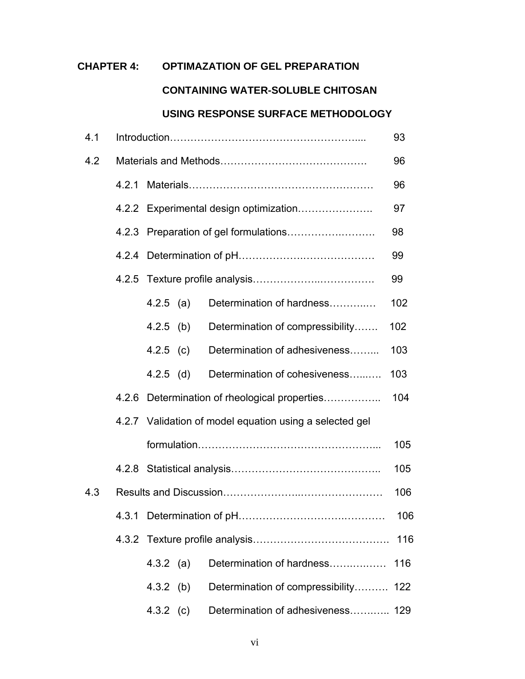# **CHAPTER 4: OPTIMAZATION OF GEL PREPARATION**

# **CONTAINING WATER-SOLUBLE CHITOSAN**

# **USING RESPONSE SURFACE METHODOLOGY**

| 4.1 |                                        |             |  |                                                         | 93  |  |
|-----|----------------------------------------|-------------|--|---------------------------------------------------------|-----|--|
| 4.2 |                                        |             |  |                                                         | 96  |  |
|     | 4.2.1                                  |             |  |                                                         | 96  |  |
|     | 4.2.2 Experimental design optimization |             |  |                                                         | 97  |  |
|     | 4.2.3                                  |             |  |                                                         |     |  |
|     | 4.2.4                                  |             |  |                                                         |     |  |
|     | 4.2.5                                  |             |  |                                                         | 99  |  |
|     |                                        | $4.2.5$ (a) |  | Determination of hardness                               | 102 |  |
|     |                                        | $4.2.5$ (b) |  | Determination of compressibility                        | 102 |  |
|     |                                        | 4.2.5 (c)   |  | Determination of adhesiveness                           | 103 |  |
|     |                                        | $4.2.5$ (d) |  | Determination of cohesiveness                           | 103 |  |
|     | 4.2.6                                  |             |  | Determination of rheological properties                 | 104 |  |
|     |                                        |             |  | 4.2.7 Validation of model equation using a selected gel |     |  |
|     |                                        |             |  |                                                         | 105 |  |
|     |                                        |             |  |                                                         | 105 |  |
| 4.3 |                                        |             |  |                                                         | 106 |  |
|     |                                        |             |  |                                                         | 106 |  |
|     |                                        |             |  |                                                         | 116 |  |
|     |                                        | $4.3.2$ (a) |  | Determination of hardness                               | 116 |  |
|     |                                        | 4.3.2 (b)   |  | Determination of compressibility                        | 122 |  |
|     |                                        | 4.3.2 (c)   |  | Determination of adhesiveness                           | 129 |  |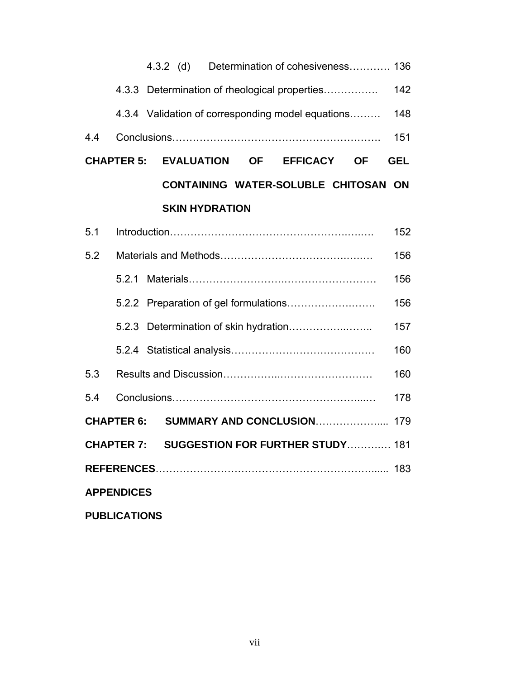|                   |                     |  |  |                       |  | 4.3.2 (d) Determination of cohesiveness 136        |           |            |
|-------------------|---------------------|--|--|-----------------------|--|----------------------------------------------------|-----------|------------|
|                   |                     |  |  |                       |  | 4.3.3 Determination of rheological properties      |           | 142        |
|                   |                     |  |  |                       |  | 4.3.4 Validation of corresponding model equations  |           | 148        |
| 4.4               |                     |  |  |                       |  |                                                    |           | 151        |
|                   | <b>CHAPTER 5:</b>   |  |  | <b>EVALUATION</b>     |  | <b>OF EFFICACY</b>                                 | <b>OF</b> | <b>GEL</b> |
|                   |                     |  |  |                       |  | <b>CONTAINING WATER-SOLUBLE CHITOSAN ON</b>        |           |            |
|                   |                     |  |  | <b>SKIN HYDRATION</b> |  |                                                    |           |            |
| 5.1               |                     |  |  |                       |  |                                                    |           | 152        |
| 5.2               |                     |  |  |                       |  |                                                    |           | 156        |
|                   |                     |  |  |                       |  |                                                    |           | 156        |
|                   |                     |  |  |                       |  |                                                    |           | 156        |
|                   |                     |  |  |                       |  |                                                    |           | 157        |
|                   |                     |  |  |                       |  |                                                    |           | 160        |
| 5.3               |                     |  |  |                       |  |                                                    |           | 160        |
| 5.4               |                     |  |  |                       |  |                                                    |           | 178        |
|                   | <b>CHAPTER 6:</b>   |  |  |                       |  | SUMMARY AND CONCLUSION                             |           | 179        |
|                   |                     |  |  |                       |  | <b>CHAPTER 7: SUGGESTION FOR FURTHER STUDY 181</b> |           |            |
|                   |                     |  |  |                       |  |                                                    |           |            |
| <b>APPENDICES</b> |                     |  |  |                       |  |                                                    |           |            |
|                   | <b>PUBLICATIONS</b> |  |  |                       |  |                                                    |           |            |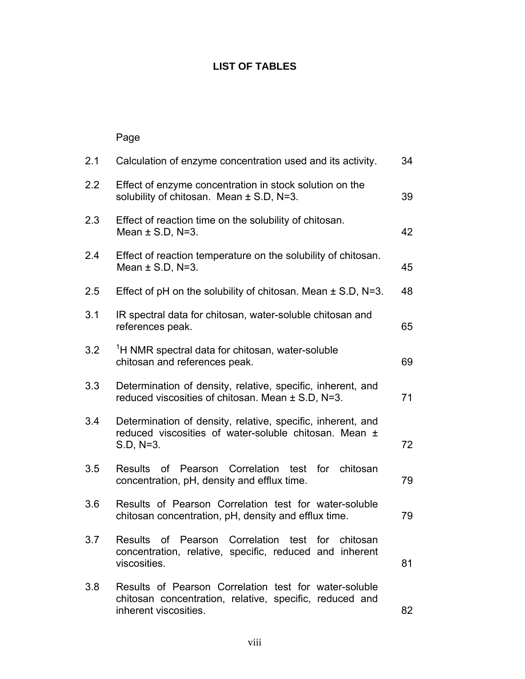# **LIST OF TABLES**

# Page

| 2.1 | Calculation of enzyme concentration used and its activity.                                                                                | 34 |
|-----|-------------------------------------------------------------------------------------------------------------------------------------------|----|
| 2.2 | Effect of enzyme concentration in stock solution on the<br>solubility of chitosan. Mean ± S.D, N=3.                                       | 39 |
| 2.3 | Effect of reaction time on the solubility of chitosan.<br>Mean $\pm$ S.D, N=3.                                                            | 42 |
| 2.4 | Effect of reaction temperature on the solubility of chitosan.<br>Mean $\pm$ S.D, N=3.                                                     | 45 |
| 2.5 | Effect of $pH$ on the solubility of chitosan. Mean $\pm$ S.D, N=3.                                                                        | 48 |
| 3.1 | IR spectral data for chitosan, water-soluble chitosan and<br>references peak.                                                             | 65 |
| 3.2 | <sup>1</sup> H NMR spectral data for chitosan, water-soluble<br>chitosan and references peak.                                             | 69 |
| 3.3 | Determination of density, relative, specific, inherent, and<br>reduced viscosities of chitosan. Mean ± S.D, N=3.                          | 71 |
| 3.4 | Determination of density, relative, specific, inherent, and<br>reduced viscosities of water-soluble chitosan. Mean ±<br>S.D, N=3.         | 72 |
| 3.5 | Results of Pearson Correlation test<br>for<br>chitosan<br>concentration, pH, density and efflux time.                                     | 79 |
| 3.6 | Results of Pearson Correlation test for water-soluble<br>chitosan concentration, pH, density and efflux time.                             | 79 |
| 3.7 | Results of Pearson Correlation test for chitosan<br>concentration, relative, specific, reduced and inherent<br>viscosities.               | 81 |
| 3.8 | Results of Pearson Correlation test for water-soluble<br>chitosan concentration, relative, specific, reduced and<br>inherent viscosities. | 82 |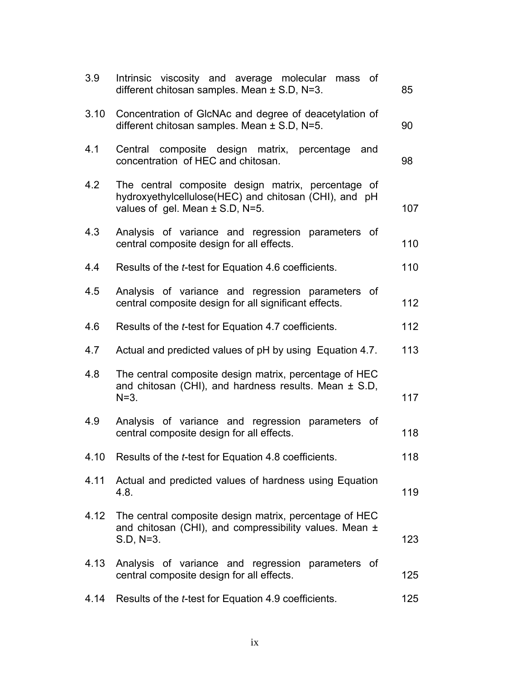| 3.9  | Intrinsic viscosity and average molecular<br>mass of<br>different chitosan samples. Mean $\pm$ S.D, N=3.                                           | 85  |
|------|----------------------------------------------------------------------------------------------------------------------------------------------------|-----|
| 3.10 | Concentration of GIcNAc and degree of deacetylation of<br>different chitosan samples. Mean $\pm$ S.D, N=5.                                         | 90  |
| 4.1  | Central composite design matrix, percentage and<br>concentration of HEC and chitosan.                                                              | 98  |
| 4.2  | The central composite design matrix, percentage of<br>hydroxyethylcellulose(HEC) and chitosan (CHI), and pH<br>values of gel. Mean $\pm$ S.D, N=5. | 107 |
| 4.3  | Analysis of variance and regression parameters of<br>central composite design for all effects.                                                     | 110 |
| 4.4  | Results of the <i>t</i> -test for Equation 4.6 coefficients.                                                                                       | 110 |
| 4.5  | Analysis of variance and regression parameters of<br>central composite design for all significant effects.                                         | 112 |
| 4.6  | Results of the t-test for Equation 4.7 coefficients.                                                                                               | 112 |
| 4.7  | Actual and predicted values of pH by using Equation 4.7.                                                                                           | 113 |
| 4.8  | The central composite design matrix, percentage of HEC<br>and chitosan (CHI), and hardness results. Mean $\pm$ S.D,<br>$N = 3.$                    | 117 |
| 4.9  | Analysis of variance and regression parameters of<br>central composite design for all effects.                                                     | 118 |
|      | 4.10 Results of the <i>t</i> -test for Equation 4.8 coefficients.                                                                                  | 118 |
| 4.11 | Actual and predicted values of hardness using Equation<br>4.8.                                                                                     | 119 |
| 4.12 | The central composite design matrix, percentage of HEC<br>and chitosan (CHI), and compressibility values. Mean ±<br>S.D, N=3.                      | 123 |
| 4.13 | Analysis of variance and regression parameters of<br>central composite design for all effects.                                                     | 125 |
| 4.14 | Results of the <i>t</i> -test for Equation 4.9 coefficients.                                                                                       | 125 |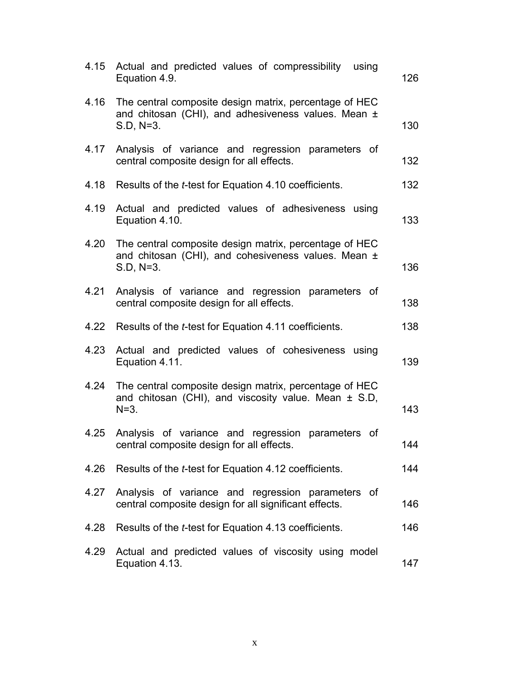| 4.15 | Actual and predicted values of compressibility<br>using<br>Equation 4.9.                                                       | 126 |
|------|--------------------------------------------------------------------------------------------------------------------------------|-----|
| 4.16 | The central composite design matrix, percentage of HEC<br>and chitosan (CHI), and adhesiveness values. Mean ±<br>S.D, N=3.     | 130 |
| 4.17 | Analysis of variance and regression parameters of<br>central composite design for all effects.                                 | 132 |
| 4.18 | Results of the <i>t</i> -test for Equation 4.10 coefficients.                                                                  | 132 |
| 4.19 | Actual and predicted values of adhesiveness using<br>Equation 4.10.                                                            | 133 |
| 4.20 | The central composite design matrix, percentage of HEC<br>and chitosan (CHI), and cohesiveness values. Mean ±<br>$S.D, N=3.$   | 136 |
| 4.21 | Analysis of variance and regression parameters of<br>central composite design for all effects.                                 | 138 |
|      | 4.22 Results of the <i>t</i> -test for Equation 4.11 coefficients.                                                             | 138 |
| 4.23 | Actual and predicted values of cohesiveness<br>using<br>Equation 4.11.                                                         | 139 |
| 4.24 | The central composite design matrix, percentage of HEC<br>and chitosan (CHI), and viscosity value. Mean $\pm$ S.D,<br>$N = 3.$ | 143 |
| 4.25 | Analysis of variance and regression<br>parameters of<br>central composite design for all effects.                              | 144 |
| 4.26 | Results of the <i>t</i> -test for Equation 4.12 coefficients.                                                                  | 144 |
| 4.27 | Analysis of variance and regression parameters of<br>central composite design for all significant effects.                     | 146 |
| 4.28 | Results of the <i>t</i> -test for Equation 4.13 coefficients.                                                                  | 146 |
| 4.29 | Actual and predicted values of viscosity using model<br>Equation 4.13.                                                         | 147 |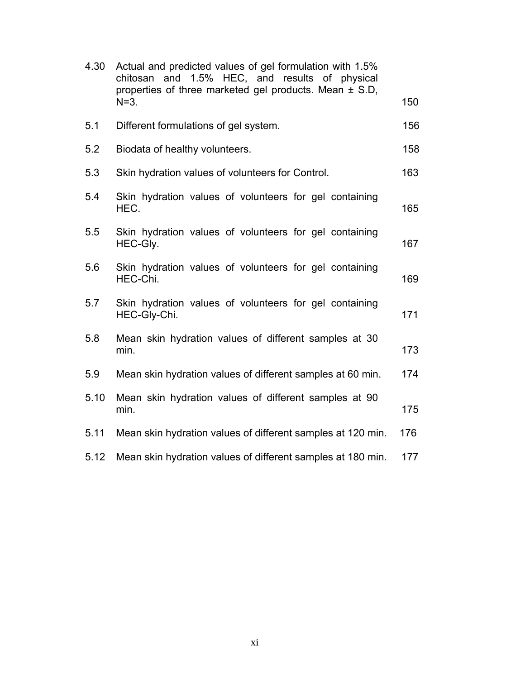| 4.30 | Actual and predicted values of gel formulation with 1.5%<br>chitosan and 1.5% HEC, and results of physical<br>properties of three marketed gel products. Mean ± S.D, |     |
|------|----------------------------------------------------------------------------------------------------------------------------------------------------------------------|-----|
|      | $N=3$ .                                                                                                                                                              | 150 |
| 5.1  | Different formulations of gel system.                                                                                                                                | 156 |
| 5.2  | Biodata of healthy volunteers.                                                                                                                                       | 158 |
| 5.3  | Skin hydration values of volunteers for Control.                                                                                                                     | 163 |
| 5.4  | Skin hydration values of volunteers for gel containing<br>HEC.                                                                                                       | 165 |
| 5.5  | Skin hydration values of volunteers for gel containing<br>HEC-Gly.                                                                                                   | 167 |
| 5.6  | Skin hydration values of volunteers for gel containing<br>HEC-Chi.                                                                                                   | 169 |
| 5.7  | Skin hydration values of volunteers for gel containing<br>HEC-Gly-Chi.                                                                                               | 171 |
| 5.8  | Mean skin hydration values of different samples at 30<br>min.                                                                                                        | 173 |
| 5.9  | Mean skin hydration values of different samples at 60 min.                                                                                                           | 174 |
| 5.10 | Mean skin hydration values of different samples at 90<br>min.                                                                                                        | 175 |
| 5.11 | Mean skin hydration values of different samples at 120 min.                                                                                                          | 176 |
| 5.12 | Mean skin hydration values of different samples at 180 min.                                                                                                          | 177 |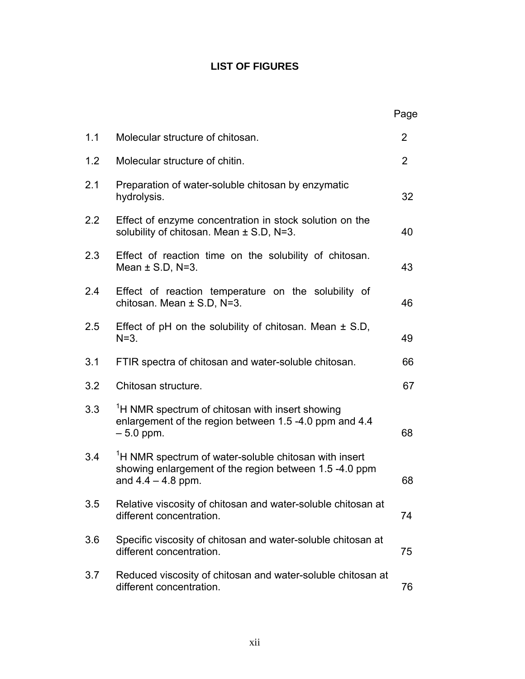# **LIST OF FIGURES**

|     |                                                                                                                                                     | Page           |
|-----|-----------------------------------------------------------------------------------------------------------------------------------------------------|----------------|
| 1.1 | Molecular structure of chitosan.                                                                                                                    | $\overline{2}$ |
| 1.2 | Molecular structure of chitin.                                                                                                                      | $\overline{2}$ |
| 2.1 | Preparation of water-soluble chitosan by enzymatic<br>hydrolysis.                                                                                   | 32             |
| 2.2 | Effect of enzyme concentration in stock solution on the<br>solubility of chitosan. Mean $\pm$ S.D, N=3.                                             | 40             |
| 2.3 | Effect of reaction time on the solubility of chitosan.<br>Mean $\pm$ S.D, N=3.                                                                      | 43             |
| 2.4 | Effect of reaction temperature on the solubility of<br>chitosan. Mean $\pm$ S.D, N=3.                                                               | 46             |
| 2.5 | Effect of pH on the solubility of chitosan. Mean $\pm$ S.D,<br>$N=3$ .                                                                              | 49             |
| 3.1 | FTIR spectra of chitosan and water-soluble chitosan.                                                                                                | 66             |
| 3.2 | Chitosan structure.                                                                                                                                 | 67             |
| 3.3 | <sup>1</sup> H NMR spectrum of chitosan with insert showing<br>enlargement of the region between 1.5 -4.0 ppm and 4.4<br>$-5.0$ ppm.                | 68             |
| 3.4 | <sup>1</sup> H NMR spectrum of water-soluble chitosan with insert<br>showing enlargement of the region between 1.5 -4.0 ppm<br>and $4.4 - 4.8$ ppm. | 68             |
| 3.5 | Relative viscosity of chitosan and water-soluble chitosan at<br>different concentration.                                                            | 74             |
| 3.6 | Specific viscosity of chitosan and water-soluble chitosan at<br>different concentration.                                                            | 75             |
| 3.7 | Reduced viscosity of chitosan and water-soluble chitosan at<br>different concentration.                                                             | 76             |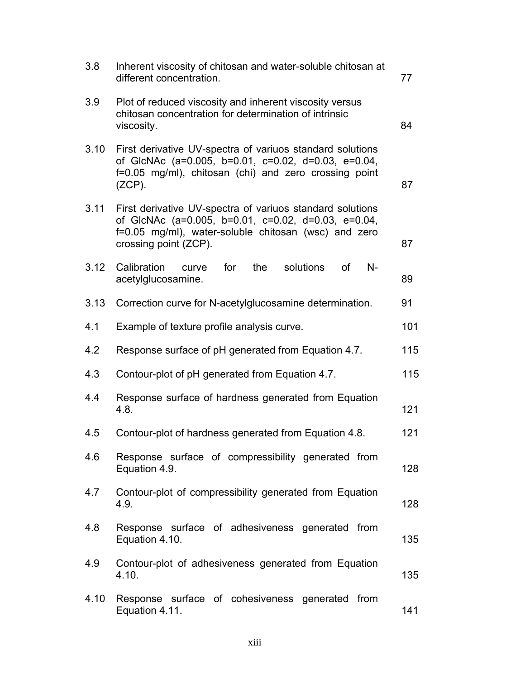| 3.8  | Inherent viscosity of chitosan and water-soluble chitosan at<br>different concentration.                                                                                                          | 77  |
|------|---------------------------------------------------------------------------------------------------------------------------------------------------------------------------------------------------|-----|
| 3.9  | Plot of reduced viscosity and inherent viscosity versus<br>chitosan concentration for determination of intrinsic<br>viscosity.                                                                    | 84  |
| 3.10 | First derivative UV-spectra of variuos standard solutions<br>of GIcNAc (a=0.005, b=0.01, c=0.02, d=0.03, e=0.04,<br>f=0.05 mg/ml), chitosan (chi) and zero crossing point<br>$(ZCP)$ .            | 87  |
| 3.11 | First derivative UV-spectra of variuos standard solutions<br>of GlcNAc (a=0.005, b=0.01, c=0.02, d=0.03, e=0.04,<br>f=0.05 mg/ml), water-soluble chitosan (wsc) and zero<br>crossing point (ZCP). | 87  |
| 3.12 | for<br>the<br>solutions<br>Calibration<br><b>of</b><br>$N-$<br>curve<br>acetylglucosamine.                                                                                                        | 89  |
| 3.13 | Correction curve for N-acetylglucosamine determination.                                                                                                                                           | 91  |
| 4.1  | Example of texture profile analysis curve.                                                                                                                                                        | 101 |
| 4.2  | Response surface of pH generated from Equation 4.7.                                                                                                                                               | 115 |
| 4.3  | Contour-plot of pH generated from Equation 4.7.                                                                                                                                                   | 115 |
| 4.4  | Response surface of hardness generated from Equation<br>4.8.                                                                                                                                      | 121 |
| 4.5  | Contour-plot of hardness generated from Equation 4.8.                                                                                                                                             | 121 |
| 4.6  | Response surface of compressibility generated from<br>Equation 4.9.                                                                                                                               | 128 |
| 4.7  | Contour-plot of compressibility generated from Equation<br>4.9.                                                                                                                                   | 128 |
| 4.8  | Response surface of adhesiveness generated from<br>Equation 4.10.                                                                                                                                 | 135 |
| 4.9  | Contour-plot of adhesiveness generated from Equation<br>4.10.                                                                                                                                     | 135 |
| 4.10 | Response surface of cohesiveness generated from<br>Equation 4.11.                                                                                                                                 | 141 |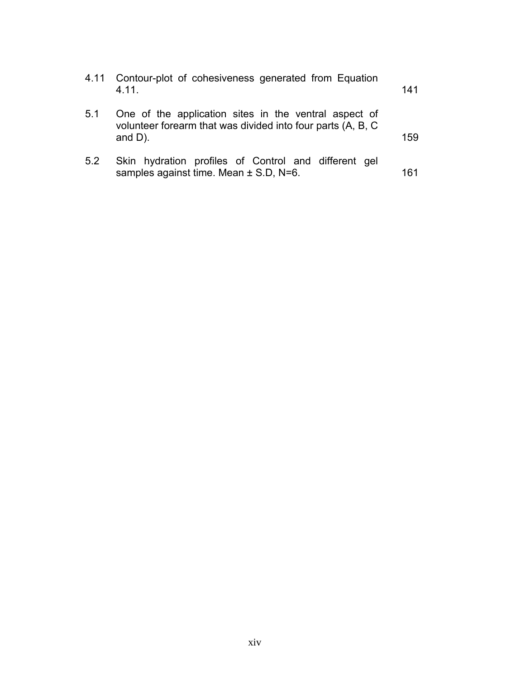| 4.11 | Contour-plot of cohesiveness generated from Equation<br>4 1 1                                                                      | 141 |
|------|------------------------------------------------------------------------------------------------------------------------------------|-----|
| 5.1  | One of the application sites in the ventral aspect of<br>volunteer forearm that was divided into four parts (A, B, C<br>and $D$ ). | 159 |
| 5.2  | Skin hydration profiles of Control and different gel<br>samples against time. Mean ± S.D, N=6.                                     | 161 |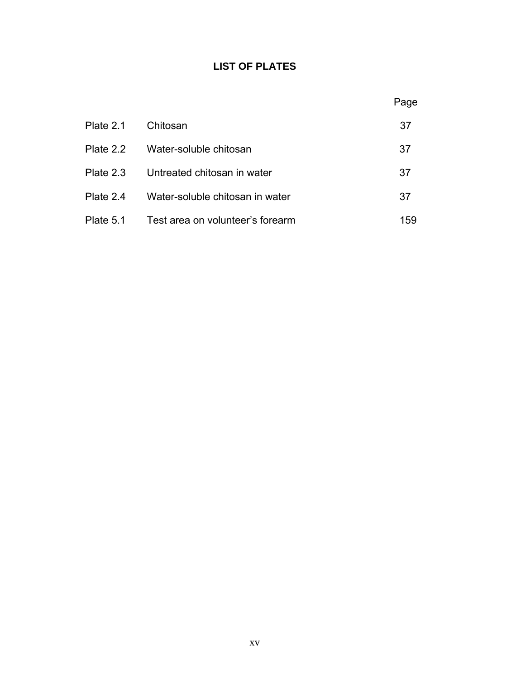# **LIST OF PLATES**

|           |                                  | Page |
|-----------|----------------------------------|------|
| Plate 2.1 | Chitosan                         | 37   |
| Plate 2.2 | Water-soluble chitosan           | 37   |
| Plate 2.3 | Untreated chitosan in water      | 37   |
| Plate 2.4 | Water-soluble chitosan in water  | 37   |
| Plate 5.1 | Test area on volunteer's forearm | 159  |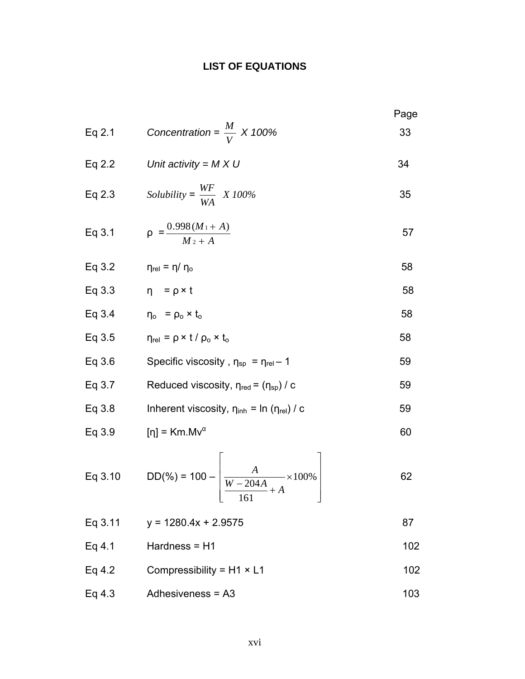# **LIST OF EQUATIONS**

Eq 2.1 *Concentration* = 
$$
\frac{M}{V} \times 100\%
$$
 33  
\nEq 2.2 *Unit activity* = *M* × *U* 34  
\nEq 2.3 *Solubility* =  $\frac{WF}{WA} \times 100\%$  35  
\nEq 3.1  $\rho = \frac{0.998(M+A)}{M_2 + A}$  57  
\nEq 3.2  $\eta_{rel} = \eta / \eta_o$  58  
\nEq 3.3  $\eta = \rho \times t$  58  
\nEq 3.4  $\eta_o = \rho_o \times t_o$  58  
\nEq 3.5  $\eta_{rel} = \rho \times t / \rho_o \times t_o$  58  
\nEq 3.6 Specific viscosity,  $\eta_{sp} = \eta_{rel} - 1$  59  
\nEq 3.7 Reduced viscosity,  $\eta_{rel} = (\eta_{sp}) / c$  59  
\nEq 3.8 Inherent viscosity,  $\eta_{linh} = \ln (\eta_{rel}) / c$  59  
\nEq 3.9 [ $\eta$ ] = *Km.Mv*<sup>α</sup> 60  
\nEq 3.10 DD(%<sub>0</sub>) = 100 -  $\left[ \frac{A}{W - 204A} \times 100\%$  62  
\nEq 3.11  $y = 1280.4x + 2.9575$  87

- Eq 4.1 Hardness = H1  $102$
- Eq 4.2 Compressibility = H1  $\times$  L1 102
- Eq  $4.3$  Adhesiveness = A3 103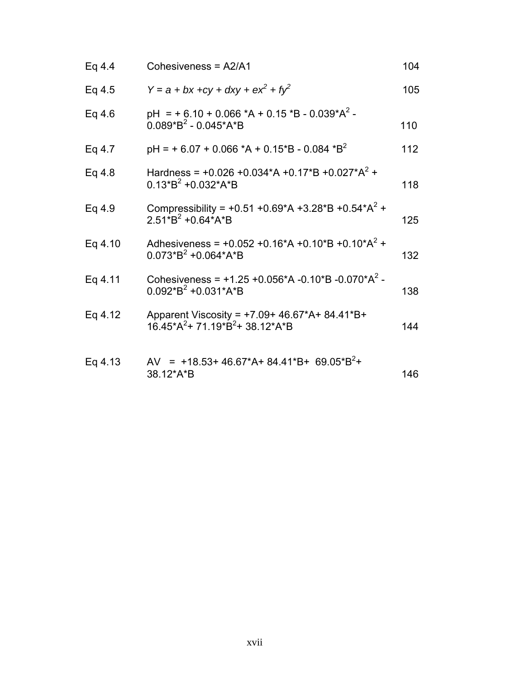| Eq 4.4  | Cohesiveness = A2/A1                                                                   | 104 |
|---------|----------------------------------------------------------------------------------------|-----|
| Eq 4.5  | $Y = a + bx + cy + dxy + ex^{2} + fy^{2}$                                              | 105 |
| Eq 4.6  | pH = + $6.10 + 0.066$ *A + 0.15 *B - 0.039*A <sup>2</sup> -<br>$0.089*B^2 - 0.045*A*B$ | 110 |
| Eq 4.7  | $pH = +6.07 + 0.066$ *A + 0.15 *B - 0.084 *B <sup>2</sup>                              | 112 |
| Eq 4.8  | Hardness = +0.026 +0.034*A +0.17*B +0.027*A <sup>2</sup> +<br>$0.13*B^2 + 0.032*A*B$   | 118 |
| Eq 4.9  | Compressibility = +0.51 +0.69*A +3.28*B +0.54*A <sup>2</sup> +<br>$2.51*B2 + 0.64*A*B$ | 125 |
| Eq 4.10 | Adhesiveness = $+0.052 +0.16*A +0.10*B +0.10*A^2 +$<br>$0.073*B^2 + 0.064*A*B$         | 132 |
| Eq 4.11 | Cohesiveness = $+1.25 +0.056*A -0.10*B -0.070*A^2 -$<br>$0.092*B^2 + 0.031*A*B$        | 138 |
| Eq 4.12 | Apparent Viscosity = +7.09+ 46.67*A+ 84.41*B+<br>$16.45*A^2+71.19*B^2+38.12*A*B$       | 144 |
| Eq 4.13 | AV = +18.53+46.67*A+84.41*B+ 69.05*B <sup>2</sup> +<br>38.12*A*B                       | 146 |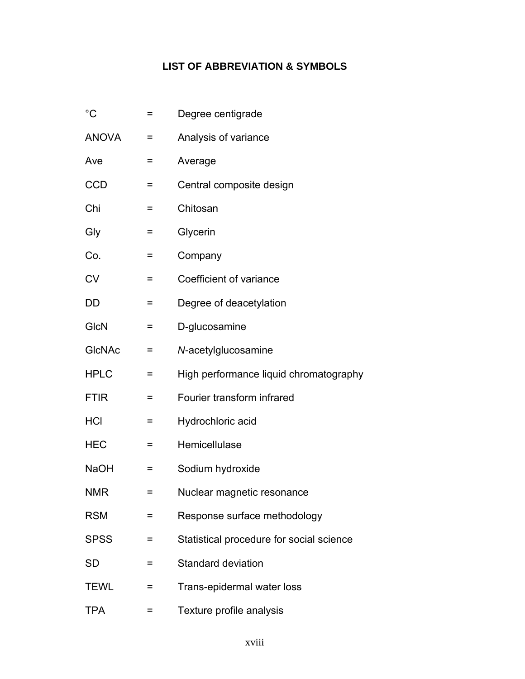# **LIST OF ABBREVIATION & SYMBOLS**

| $^{\circ}C$   | =   | Degree centigrade                        |
|---------------|-----|------------------------------------------|
| <b>ANOVA</b>  | =   | Analysis of variance                     |
| Ave           | =   | Average                                  |
| <b>CCD</b>    | =   | Central composite design                 |
| Chi           | $=$ | Chitosan                                 |
| Gly           | =   | Glycerin                                 |
| Co.           | =   | Company                                  |
| <b>CV</b>     | =   | Coefficient of variance                  |
| DD            | =   | Degree of deacetylation                  |
| <b>GIcN</b>   | =   | D-glucosamine                            |
| <b>GICNAC</b> | =   | N-acetylglucosamine                      |
| <b>HPLC</b>   | =   | High performance liquid chromatography   |
| <b>FTIR</b>   | =   | Fourier transform infrared               |
| <b>HCI</b>    | =   | Hydrochloric acid                        |
| <b>HEC</b>    | =   | Hemicellulase                            |
| <b>NaOH</b>   | =   | Sodium hydroxide                         |
| NMR           | =   | Nuclear magnetic resonance               |
| <b>RSM</b>    |     | Response surface methodology             |
| <b>SPSS</b>   | =   | Statistical procedure for social science |
| SD            | =   | <b>Standard deviation</b>                |
| <b>TEWL</b>   | =   | Trans-epidermal water loss               |
| <b>TPA</b>    | Ξ   | Texture profile analysis                 |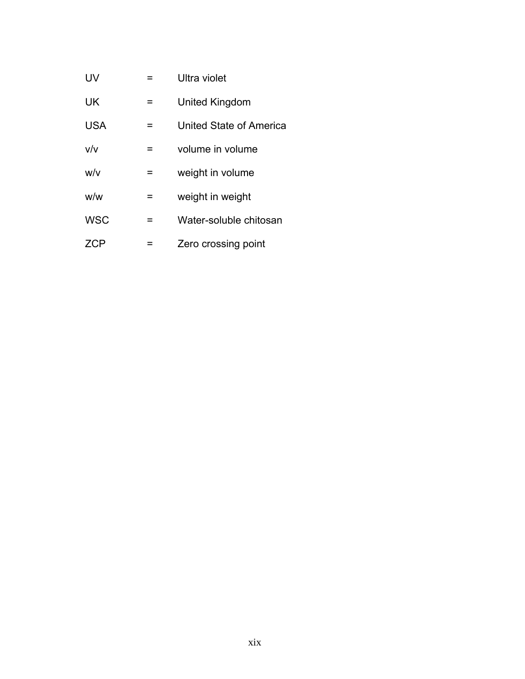| UV         | = | Ultra violet            |
|------------|---|-------------------------|
| UK         | = | United Kingdom          |
| <b>USA</b> | = | United State of America |
| V/v        | = | volume in volume        |
| w/v        | = | weight in volume        |
| w/w        | = | weight in weight        |
| <b>WSC</b> | = | Water-soluble chitosan  |
| ZCP        |   | Zero crossing point     |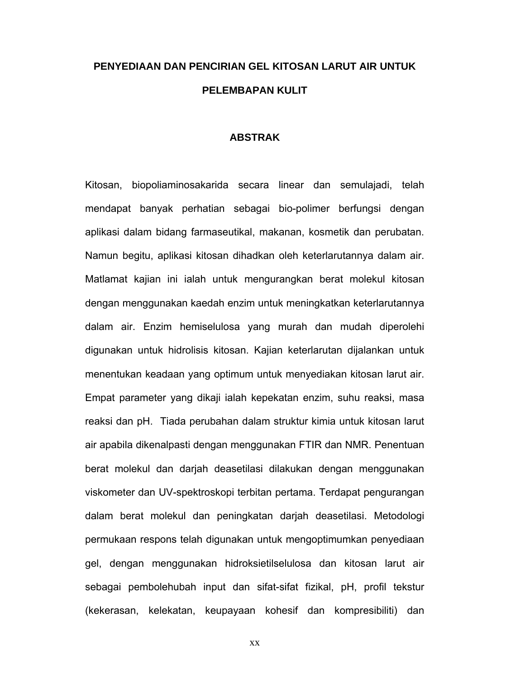# **PENYEDIAAN DAN PENCIRIAN GEL KITOSAN LARUT AIR UNTUK PELEMBAPAN KULIT**

#### **ABSTRAK**

Kitosan, biopoliaminosakarida secara linear dan semulajadi, telah mendapat banyak perhatian sebagai bio-polimer berfungsi dengan aplikasi dalam bidang farmaseutikal, makanan, kosmetik dan perubatan. Namun begitu, aplikasi kitosan dihadkan oleh keterlarutannya dalam air. Matlamat kajian ini ialah untuk mengurangkan berat molekul kitosan dengan menggunakan kaedah enzim untuk meningkatkan keterlarutannya dalam air. Enzim hemiselulosa yang murah dan mudah diperolehi digunakan untuk hidrolisis kitosan. Kajian keterlarutan dijalankan untuk menentukan keadaan yang optimum untuk menyediakan kitosan larut air. Empat parameter yang dikaji ialah kepekatan enzim, suhu reaksi, masa reaksi dan pH. Tiada perubahan dalam struktur kimia untuk kitosan larut air apabila dikenalpasti dengan menggunakan FTIR dan NMR. Penentuan berat molekul dan darjah deasetilasi dilakukan dengan menggunakan viskometer dan UV-spektroskopi terbitan pertama. Terdapat pengurangan dalam berat molekul dan peningkatan darjah deasetilasi. Metodologi permukaan respons telah digunakan untuk mengoptimumkan penyediaan gel, dengan menggunakan hidroksietilselulosa dan kitosan larut air sebagai pembolehubah input dan sifat-sifat fizikal, pH, profil tekstur (kekerasan, kelekatan, keupayaan kohesif dan kompresibiliti) dan

xx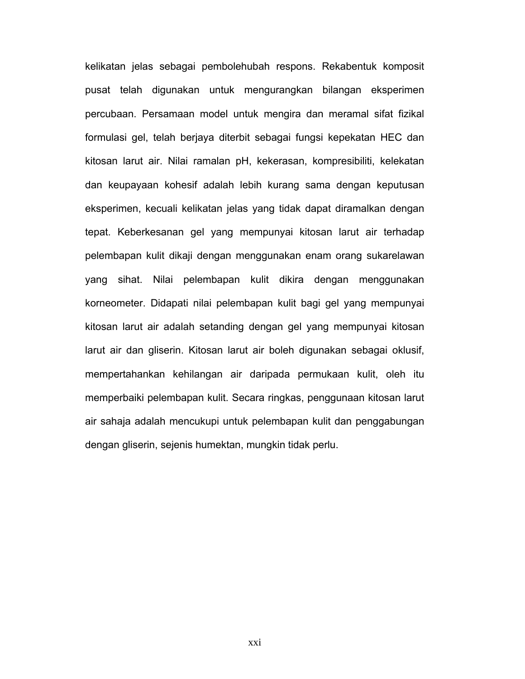kelikatan jelas sebagai pembolehubah respons. Rekabentuk komposit pusat telah digunakan untuk mengurangkan bilangan eksperimen percubaan. Persamaan model untuk mengira dan meramal sifat fizikal formulasi gel, telah berjaya diterbit sebagai fungsi kepekatan HEC dan kitosan larut air. Nilai ramalan pH, kekerasan, kompresibiliti, kelekatan dan keupayaan kohesif adalah lebih kurang sama dengan keputusan eksperimen, kecuali kelikatan jelas yang tidak dapat diramalkan dengan tepat. Keberkesanan gel yang mempunyai kitosan larut air terhadap pelembapan kulit dikaji dengan menggunakan enam orang sukarelawan yang sihat. Nilai pelembapan kulit dikira dengan menggunakan korneometer. Didapati nilai pelembapan kulit bagi gel yang mempunyai kitosan larut air adalah setanding dengan gel yang mempunyai kitosan larut air dan gliserin. Kitosan larut air boleh digunakan sebagai oklusif, mempertahankan kehilangan air daripada permukaan kulit, oleh itu memperbaiki pelembapan kulit. Secara ringkas, penggunaan kitosan larut air sahaja adalah mencukupi untuk pelembapan kulit dan penggabungan dengan gliserin, sejenis humektan, mungkin tidak perlu.

xxi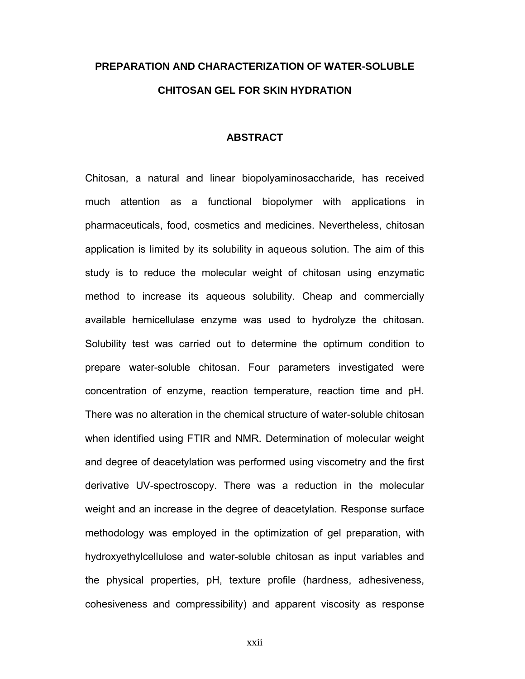# **PREPARATION AND CHARACTERIZATION OF WATER-SOLUBLE CHITOSAN GEL FOR SKIN HYDRATION**

#### **ABSTRACT**

Chitosan, a natural and linear biopolyaminosaccharide, has received much attention as a functional biopolymer with applications in pharmaceuticals, food, cosmetics and medicines. Nevertheless, chitosan application is limited by its solubility in aqueous solution. The aim of this study is to reduce the molecular weight of chitosan using enzymatic method to increase its aqueous solubility. Cheap and commercially available hemicellulase enzyme was used to hydrolyze the chitosan. Solubility test was carried out to determine the optimum condition to prepare water-soluble chitosan. Four parameters investigated were concentration of enzyme, reaction temperature, reaction time and pH. There was no alteration in the chemical structure of water-soluble chitosan when identified using FTIR and NMR. Determination of molecular weight and degree of deacetylation was performed using viscometry and the first derivative UV-spectroscopy. There was a reduction in the molecular weight and an increase in the degree of deacetylation. Response surface methodology was employed in the optimization of gel preparation, with hydroxyethylcellulose and water-soluble chitosan as input variables and the physical properties, pH, texture profile (hardness, adhesiveness, cohesiveness and compressibility) and apparent viscosity as response

xxii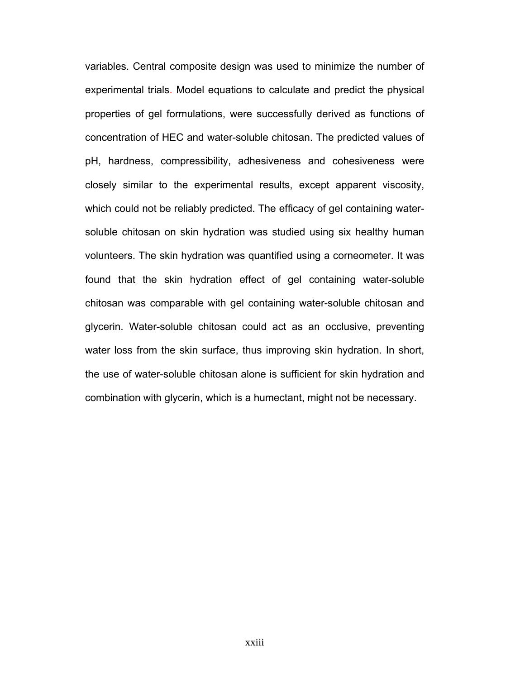variables. Central composite design was used to minimize the number of experimental trials. Model equations to calculate and predict the physical properties of gel formulations, were successfully derived as functions of concentration of HEC and water-soluble chitosan. The predicted values of pH, hardness, compressibility, adhesiveness and cohesiveness were closely similar to the experimental results, except apparent viscosity, which could not be reliably predicted. The efficacy of gel containing watersoluble chitosan on skin hydration was studied using six healthy human volunteers. The skin hydration was quantified using a corneometer. It was found that the skin hydration effect of gel containing water-soluble chitosan was comparable with gel containing water-soluble chitosan and glycerin. Water-soluble chitosan could act as an occlusive, preventing water loss from the skin surface, thus improving skin hydration. In short, the use of water-soluble chitosan alone is sufficient for skin hydration and combination with glycerin, which is a humectant, might not be necessary.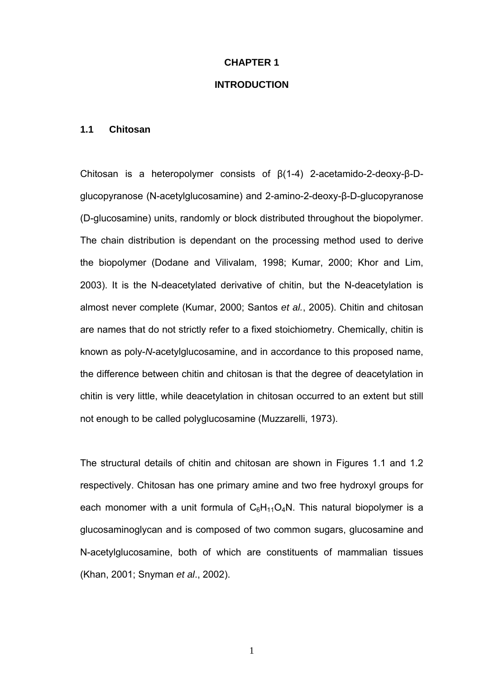# **CHAPTER 1**

## **INTRODUCTION**

#### **1.1 Chitosan**

Chitosan is a heteropolymer consists of β(1-4) 2-acetamido-2-deoxy-β-Dglucopyranose (N-acetylglucosamine) and 2-amino-2-deoxy-β-D-glucopyranose (D-glucosamine) units, randomly or block distributed throughout the biopolymer. The chain distribution is dependant on the processing method used to derive the biopolymer (Dodane and Vilivalam, 1998; Kumar, 2000; Khor and Lim, 2003). It is the N-deacetylated derivative of chitin, but the N-deacetylation is almost never complete (Kumar, 2000; Santos *et al.*, 2005). Chitin and chitosan are names that do not strictly refer to a fixed stoichiometry. Chemically, chitin is known as poly-*N*-acetylglucosamine, and in accordance to this proposed name, the difference between chitin and chitosan is that the degree of deacetylation in chitin is very little, while deacetylation in chitosan occurred to an extent but still not enough to be called polyglucosamine (Muzzarelli, 1973).

The structural details of chitin and chitosan are shown in Figures 1.1 and 1.2 respectively. Chitosan has one primary amine and two free hydroxyl groups for each monomer with a unit formula of  $C_6H_{11}O_4N$ . This natural biopolymer is a glucosaminoglycan and is composed of two common sugars, glucosamine and N-acetylglucosamine, both of which are constituents of mammalian tissues (Khan, 2001; Snyman *et al*., 2002).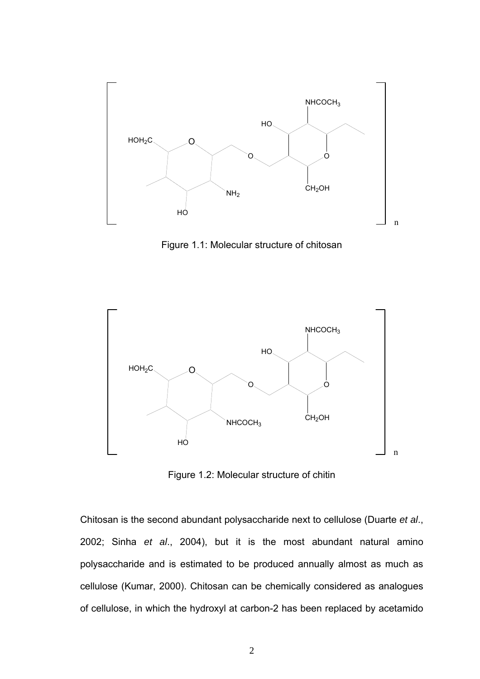

Figure 1.1: Molecular structure of chitosan



Figure 1.2: Molecular structure of chitin

Chitosan is the second abundant polysaccharide next to cellulose (Duarte *et al*., 2002; Sinha *et al*., 2004), but it is the most abundant natural amino polysaccharide and is estimated to be produced annually almost as much as cellulose (Kumar, 2000). Chitosan can be chemically considered as analogues of cellulose, in which the hydroxyl at carbon-2 has been replaced by acetamido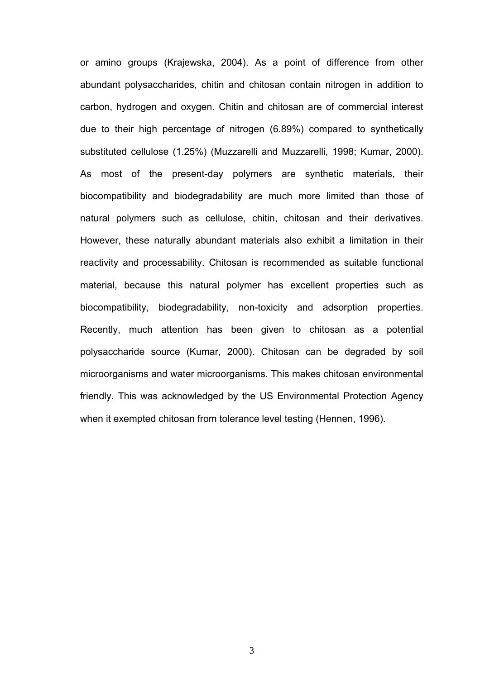or amino groups (Krajewska, 2004). As a point of difference from other abundant polysaccharides, chitin and chitosan contain nitrogen in addition to carbon, hydrogen and oxygen. Chitin and chitosan are of commercial interest due to their high percentage of nitrogen (6.89%) compared to synthetically substituted cellulose (1.25%) (Muzzarelli and Muzzarelli, 1998; Kumar, 2000). As most of the present-day polymers are synthetic materials, their biocompatibility and biodegradability are much more limited than those of natural polymers such as cellulose, chitin, chitosan and their derivatives. However, these naturally abundant materials also exhibit a limitation in their reactivity and processability. Chitosan is recommended as suitable functional material, because this natural polymer has excellent properties such as biocompatibility, biodegradability, non-toxicity and adsorption properties. Recently, much attention has been given to chitosan as a potential polysaccharide source (Kumar, 2000). Chitosan can be degraded by soil microorganisms and water microorganisms. This makes chitosan environmental friendly. This was acknowledged by the US Environmental Protection Agency when it exempted chitosan from tolerance level testing (Hennen, 1996).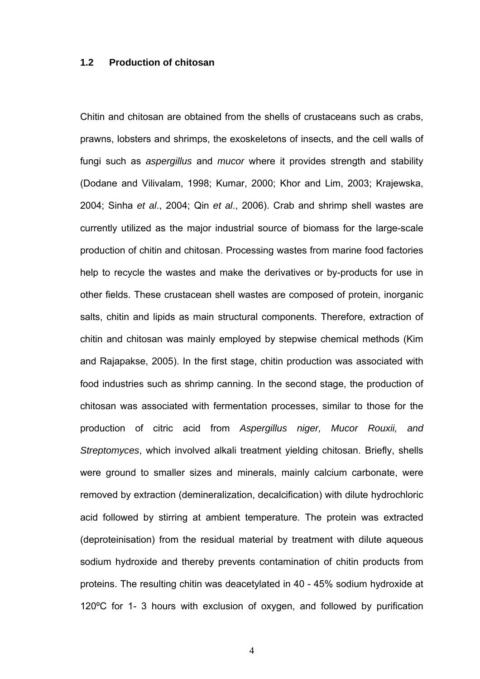### **1.2 Production of chitosan**

Chitin and chitosan are obtained from the shells of crustaceans such as crabs, prawns, lobsters and shrimps, the exoskeletons of insects, and the cell walls of fungi such as *aspergillus* and *mucor* where it provides strength and stability (Dodane and Vilivalam, 1998; Kumar, 2000; Khor and Lim, 2003; Krajewska, 2004; Sinha *et al*., 2004; Qin *et al*., 2006). Crab and shrimp shell wastes are currently utilized as the major industrial source of biomass for the large-scale production of chitin and chitosan. Processing wastes from marine food factories help to recycle the wastes and make the derivatives or by-products for use in other fields. These crustacean shell wastes are composed of protein, inorganic salts, chitin and lipids as main structural components. Therefore, extraction of chitin and chitosan was mainly employed by stepwise chemical methods (Kim and Rajapakse, 2005). In the first stage, chitin production was associated with food industries such as shrimp canning. In the second stage, the production of chitosan was associated with fermentation processes, similar to those for the production of citric acid from *Aspergillus niger, Mucor Rouxii, and Streptomyces*, which involved alkali treatment yielding chitosan. Briefly, shells were ground to smaller sizes and minerals, mainly calcium carbonate, were removed by extraction (demineralization, decalcification) with dilute hydrochloric acid followed by stirring at ambient temperature. The protein was extracted (deproteinisation) from the residual material by treatment with dilute aqueous sodium hydroxide and thereby prevents contamination of chitin products from proteins. The resulting chitin was deacetylated in 40 - 45% sodium hydroxide at 120ºC for 1- 3 hours with exclusion of oxygen, and followed by purification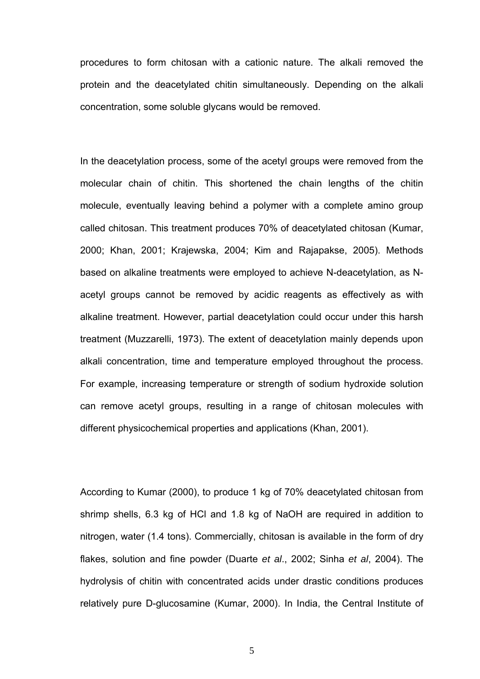procedures to form chitosan with a cationic nature. The alkali removed the protein and the deacetylated chitin simultaneously. Depending on the alkali concentration, some soluble glycans would be removed.

In the deacetylation process, some of the acetyl groups were removed from the molecular chain of chitin. This shortened the chain lengths of the chitin molecule, eventually leaving behind a polymer with a complete amino group called chitosan. This treatment produces 70% of deacetylated chitosan (Kumar, 2000; Khan, 2001; Krajewska, 2004; Kim and Rajapakse, 2005). Methods based on alkaline treatments were employed to achieve N-deacetylation, as Nacetyl groups cannot be removed by acidic reagents as effectively as with alkaline treatment. However, partial deacetylation could occur under this harsh treatment (Muzzarelli, 1973). The extent of deacetylation mainly depends upon alkali concentration, time and temperature employed throughout the process. For example, increasing temperature or strength of sodium hydroxide solution can remove acetyl groups, resulting in a range of chitosan molecules with different physicochemical properties and applications (Khan, 2001).

According to Kumar (2000), to produce 1 kg of 70% deacetylated chitosan from shrimp shells, 6.3 kg of HCl and 1.8 kg of NaOH are required in addition to nitrogen, water (1.4 tons). Commercially, chitosan is available in the form of dry flakes, solution and fine powder (Duarte *et al*., 2002; Sinha *et al*, 2004). The hydrolysis of chitin with concentrated acids under drastic conditions produces relatively pure D-glucosamine (Kumar, 2000). In India, the Central Institute of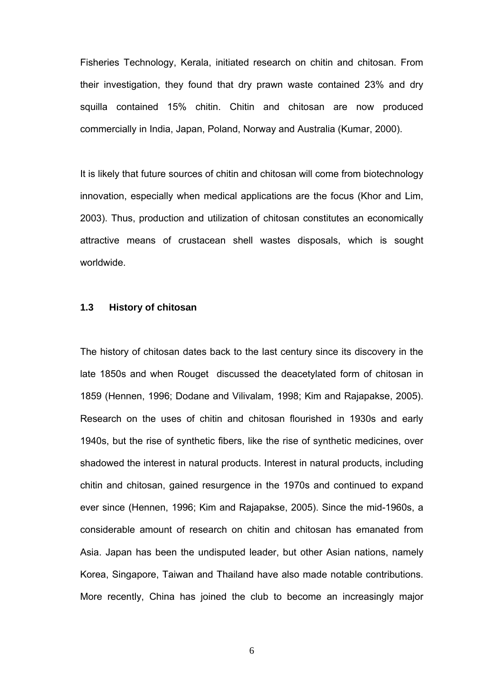Fisheries Technology, Kerala, initiated research on chitin and chitosan. From their investigation, they found that dry prawn waste contained 23% and dry squilla contained 15% chitin. Chitin and chitosan are now produced commercially in India, Japan, Poland, Norway and Australia (Kumar, 2000).

It is likely that future sources of chitin and chitosan will come from biotechnology innovation, especially when medical applications are the focus (Khor and Lim, 2003). Thus, production and utilization of chitosan constitutes an economically attractive means of crustacean shell wastes disposals, which is sought worldwide.

### **1.3 History of chitosan**

The history of chitosan dates back to the last century since its discovery in the late 1850s and when Rouget discussed the deacetylated form of chitosan in 1859 (Hennen, 1996; Dodane and Vilivalam, 1998; Kim and Rajapakse, 2005). Research on the uses of chitin and chitosan flourished in 1930s and early 1940s, but the rise of synthetic fibers, like the rise of synthetic medicines, over shadowed the interest in natural products. Interest in natural products, including chitin and chitosan, gained resurgence in the 1970s and continued to expand ever since (Hennen, 1996; Kim and Rajapakse, 2005). Since the mid-1960s, a considerable amount of research on chitin and chitosan has emanated from Asia. Japan has been the undisputed leader, but other Asian nations, namely Korea, Singapore, Taiwan and Thailand have also made notable contributions. More recently, China has joined the club to become an increasingly major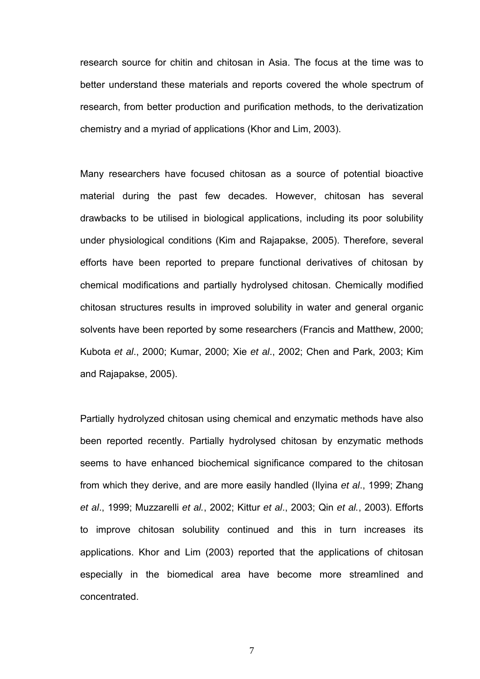research source for chitin and chitosan in Asia. The focus at the time was to better understand these materials and reports covered the whole spectrum of research, from better production and purification methods, to the derivatization chemistry and a myriad of applications (Khor and Lim, 2003).

Many researchers have focused chitosan as a source of potential bioactive material during the past few decades. However, chitosan has several drawbacks to be utilised in biological applications, including its poor solubility under physiological conditions (Kim and Rajapakse, 2005). Therefore, several efforts have been reported to prepare functional derivatives of chitosan by chemical modifications and partially hydrolysed chitosan. Chemically modified chitosan structures results in improved solubility in water and general organic solvents have been reported by some researchers (Francis and Matthew, 2000; Kubota *et al*., 2000; Kumar, 2000; Xie *et al*., 2002; Chen and Park, 2003; Kim and Rajapakse, 2005).

Partially hydrolyzed chitosan using chemical and enzymatic methods have also been reported recently. Partially hydrolysed chitosan by enzymatic methods seems to have enhanced biochemical significance compared to the chitosan from which they derive, and are more easily handled (Ilyina *et al*., 1999; Zhang *et al*., 1999; Muzzarelli *et al.*, 2002; Kittur *et al*., 2003; Qin *et al.*, 2003). Efforts to improve chitosan solubility continued and this in turn increases its applications. Khor and Lim (2003) reported that the applications of chitosan especially in the biomedical area have become more streamlined and concentrated.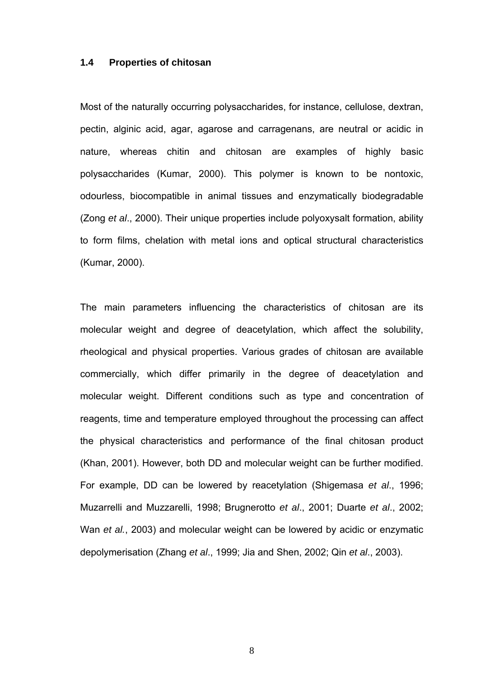#### **1.4 Properties of chitosan**

Most of the naturally occurring polysaccharides, for instance, cellulose, dextran, pectin, alginic acid, agar, agarose and carragenans, are neutral or acidic in nature, whereas chitin and chitosan are examples of highly basic polysaccharides (Kumar, 2000). This polymer is known to be nontoxic, odourless, biocompatible in animal tissues and enzymatically biodegradable (Zong *et al*., 2000). Their unique properties include polyoxysalt formation, ability to form films, chelation with metal ions and optical structural characteristics (Kumar, 2000).

The main parameters influencing the characteristics of chitosan are its molecular weight and degree of deacetylation, which affect the solubility, rheological and physical properties. Various grades of chitosan are available commercially, which differ primarily in the degree of deacetylation and molecular weight. Different conditions such as type and concentration of reagents, time and temperature employed throughout the processing can affect the physical characteristics and performance of the final chitosan product (Khan, 2001). However, both DD and molecular weight can be further modified. For example, DD can be lowered by reacetylation (Shigemasa *et al*., 1996; Muzarrelli and Muzzarelli, 1998; Brugnerotto *et al*., 2001; Duarte *et al*., 2002; Wan *et al.*, 2003) and molecular weight can be lowered by acidic or enzymatic depolymerisation (Zhang *et al*., 1999; Jia and Shen, 2002; Qin *et al*., 2003).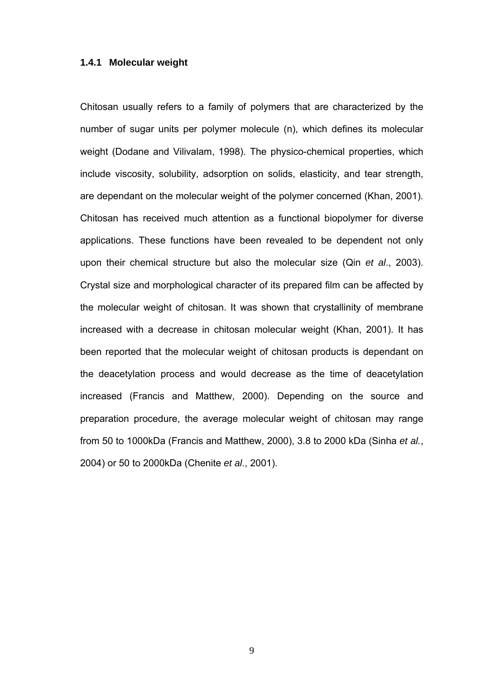### **1.4.1 Molecular weight**

Chitosan usually refers to a family of polymers that are characterized by the number of sugar units per polymer molecule (n), which defines its molecular weight (Dodane and Vilivalam, 1998). The physico-chemical properties, which include viscosity, solubility, adsorption on solids, elasticity, and tear strength, are dependant on the molecular weight of the polymer concerned (Khan, 2001). Chitosan has received much attention as a functional biopolymer for diverse applications. These functions have been revealed to be dependent not only upon their chemical structure but also the molecular size (Qin *et al*., 2003). Crystal size and morphological character of its prepared film can be affected by the molecular weight of chitosan. It was shown that crystallinity of membrane increased with a decrease in chitosan molecular weight (Khan, 2001). It has been reported that the molecular weight of chitosan products is dependant on the deacetylation process and would decrease as the time of deacetylation increased (Francis and Matthew, 2000). Depending on the source and preparation procedure, the average molecular weight of chitosan may range from 50 to 1000kDa (Francis and Matthew, 2000), 3.8 to 2000 kDa (Sinha *et al.*, 2004) or 50 to 2000kDa (Chenite *et al*., 2001).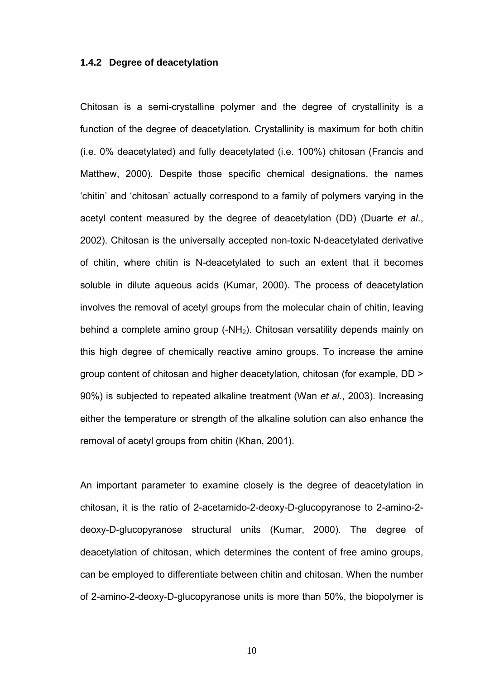#### **1.4.2 Degree of deacetylation**

Chitosan is a semi-crystalline polymer and the degree of crystallinity is a function of the degree of deacetylation. Crystallinity is maximum for both chitin (i.e. 0% deacetylated) and fully deacetylated (i.e. 100%) chitosan (Francis and Matthew, 2000). Despite those specific chemical designations, the names 'chitin' and 'chitosan' actually correspond to a family of polymers varying in the acetyl content measured by the degree of deacetylation (DD) (Duarte *et al*., 2002). Chitosan is the universally accepted non-toxic N-deacetylated derivative of chitin, where chitin is N-deacetylated to such an extent that it becomes soluble in dilute aqueous acids (Kumar, 2000). The process of deacetylation involves the removal of acetyl groups from the molecular chain of chitin, leaving behind a complete amino group (-NH<sub>2</sub>). Chitosan versatility depends mainly on this high degree of chemically reactive amino groups. To increase the amine group content of chitosan and higher deacetylation, chitosan (for example, DD > 90%) is subjected to repeated alkaline treatment (Wan *et al.*, 2003). Increasing either the temperature or strength of the alkaline solution can also enhance the removal of acetyl groups from chitin (Khan, 2001).

An important parameter to examine closely is the degree of deacetylation in chitosan, it is the ratio of 2-acetamido-2-deoxy-D-glucopyranose to 2-amino-2 deoxy-D-glucopyranose structural units (Kumar, 2000). The degree of deacetylation of chitosan, which determines the content of free amino groups, can be employed to differentiate between chitin and chitosan. When the number of 2-amino-2-deoxy-D-glucopyranose units is more than 50%, the biopolymer is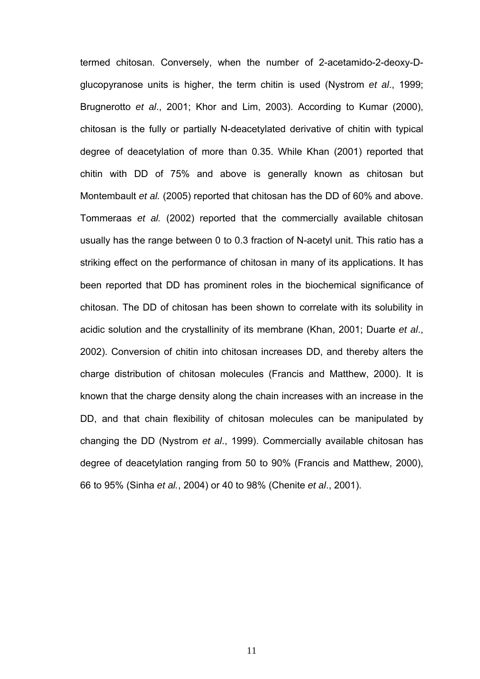termed chitosan. Conversely, when the number of 2-acetamido-2-deoxy-Dglucopyranose units is higher, the term chitin is used (Nystrom *et al*., 1999; Brugnerotto *et al*., 2001; Khor and Lim, 2003). According to Kumar (2000), chitosan is the fully or partially N-deacetylated derivative of chitin with typical degree of deacetylation of more than 0.35. While Khan (2001) reported that chitin with DD of 75% and above is generally known as chitosan but Montembault *et al.* (2005) reported that chitosan has the DD of 60% and above. Tommeraas *et al.* (2002) reported that the commercially available chitosan usually has the range between 0 to 0.3 fraction of N-acetyl unit. This ratio has a striking effect on the performance of chitosan in many of its applications. It has been reported that DD has prominent roles in the biochemical significance of chitosan. The DD of chitosan has been shown to correlate with its solubility in acidic solution and the crystallinity of its membrane (Khan, 2001; Duarte *et al*., 2002). Conversion of chitin into chitosan increases DD, and thereby alters the charge distribution of chitosan molecules (Francis and Matthew, 2000). It is known that the charge density along the chain increases with an increase in the DD, and that chain flexibility of chitosan molecules can be manipulated by changing the DD (Nystrom *et al*., 1999). Commercially available chitosan has degree of deacetylation ranging from 50 to 90% (Francis and Matthew, 2000), 66 to 95% (Sinha *et al.*, 2004) or 40 to 98% (Chenite *et al*., 2001).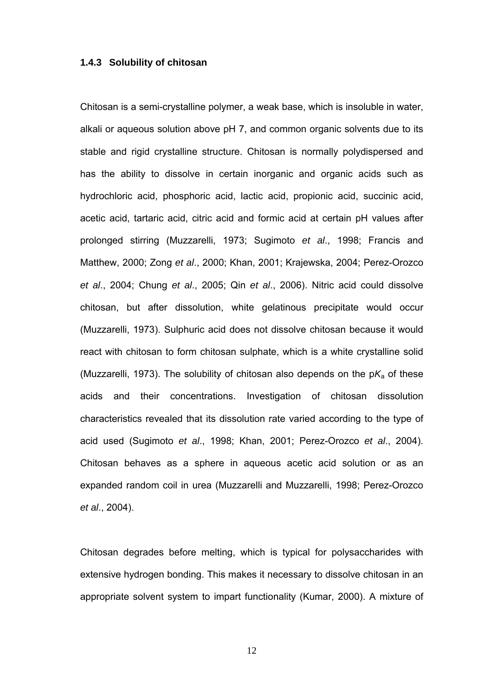#### **1.4.3 Solubility of chitosan**

Chitosan is a semi-crystalline polymer, a weak base, which is insoluble in water, alkali or aqueous solution above pH 7, and common organic solvents due to its stable and rigid crystalline structure. Chitosan is normally polydispersed and has the ability to dissolve in certain inorganic and organic acids such as hydrochloric acid, phosphoric acid, lactic acid, propionic acid, succinic acid, acetic acid, tartaric acid, citric acid and formic acid at certain pH values after prolonged stirring (Muzzarelli, 1973; Sugimoto *et al*., 1998; Francis and Matthew, 2000; Zong *et al*., 2000; Khan, 2001; Krajewska, 2004; Perez-Orozco *et al*., 2004; Chung *et al*., 2005; Qin *et al*., 2006). Nitric acid could dissolve chitosan, but after dissolution, white gelatinous precipitate would occur (Muzzarelli, 1973). Sulphuric acid does not dissolve chitosan because it would react with chitosan to form chitosan sulphate, which is a white crystalline solid (Muzzarelli, 1973). The solubility of chitosan also depends on the  $pK_a$  of these acids and their concentrations. Investigation of chitosan dissolution characteristics revealed that its dissolution rate varied according to the type of acid used (Sugimoto *et al*., 1998; Khan, 2001; Perez-Orozco *et al*., 2004). Chitosan behaves as a sphere in aqueous acetic acid solution or as an expanded random coil in urea (Muzzarelli and Muzzarelli, 1998; Perez-Orozco *et al*., 2004).

Chitosan degrades before melting, which is typical for polysaccharides with extensive hydrogen bonding. This makes it necessary to dissolve chitosan in an appropriate solvent system to impart functionality (Kumar, 2000). A mixture of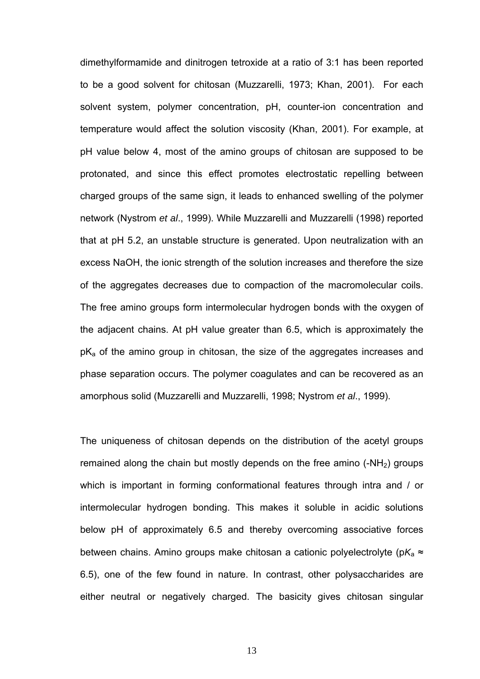dimethylformamide and dinitrogen tetroxide at a ratio of 3:1 has been reported to be a good solvent for chitosan (Muzzarelli, 1973; Khan, 2001). For each solvent system, polymer concentration, pH, counter-ion concentration and temperature would affect the solution viscosity (Khan, 2001). For example, at pH value below 4, most of the amino groups of chitosan are supposed to be protonated, and since this effect promotes electrostatic repelling between charged groups of the same sign, it leads to enhanced swelling of the polymer network (Nystrom *et al*., 1999). While Muzzarelli and Muzzarelli (1998) reported that at pH 5.2, an unstable structure is generated. Upon neutralization with an excess NaOH, the ionic strength of the solution increases and therefore the size of the aggregates decreases due to compaction of the macromolecular coils. The free amino groups form intermolecular hydrogen bonds with the oxygen of the adjacent chains. At pH value greater than 6.5, which is approximately the  $pK_a$  of the amino group in chitosan, the size of the aggregates increases and phase separation occurs. The polymer coagulates and can be recovered as an amorphous solid (Muzzarelli and Muzzarelli, 1998; Nystrom *et al*., 1999).

The uniqueness of chitosan depends on the distribution of the acetyl groups remained along the chain but mostly depends on the free amino  $(-NH<sub>2</sub>)$  groups which is important in forming conformational features through intra and / or intermolecular hydrogen bonding. This makes it soluble in acidic solutions below pH of approximately 6.5 and thereby overcoming associative forces between chains. Amino groups make chitosan a cationic polyelectrolyte (p*K*<sup>a</sup> ≈ 6.5), one of the few found in nature. In contrast, other polysaccharides are either neutral or negatively charged. The basicity gives chitosan singular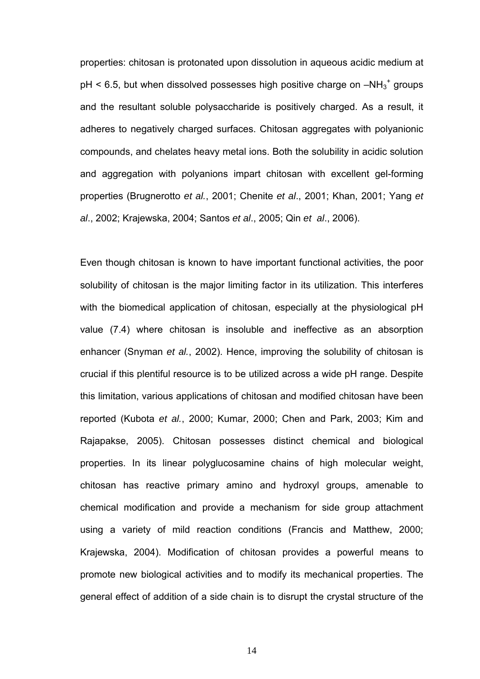properties: chitosan is protonated upon dissolution in aqueous acidic medium at  $pH < 6.5$ , but when dissolved possesses high positive charge on  $-MH_3^+$  groups and the resultant soluble polysaccharide is positively charged. As a result, it adheres to negatively charged surfaces. Chitosan aggregates with polyanionic compounds, and chelates heavy metal ions. Both the solubility in acidic solution and aggregation with polyanions impart chitosan with excellent gel-forming properties (Brugnerotto *et al.*, 2001; Chenite *et al*., 2001; Khan, 2001; Yang *et al*., 2002; Krajewska, 2004; Santos *et al*., 2005; Qin *et al*., 2006).

Even though chitosan is known to have important functional activities, the poor solubility of chitosan is the major limiting factor in its utilization. This interferes with the biomedical application of chitosan, especially at the physiological pH value (7.4) where chitosan is insoluble and ineffective as an absorption enhancer (Snyman *et al.*, 2002). Hence, improving the solubility of chitosan is crucial if this plentiful resource is to be utilized across a wide pH range. Despite this limitation, various applications of chitosan and modified chitosan have been reported (Kubota *et al.*, 2000; Kumar, 2000; Chen and Park, 2003; Kim and Rajapakse, 2005). Chitosan possesses distinct chemical and biological properties. In its linear polyglucosamine chains of high molecular weight, chitosan has reactive primary amino and hydroxyl groups, amenable to chemical modification and provide a mechanism for side group attachment using a variety of mild reaction conditions (Francis and Matthew, 2000; Krajewska, 2004). Modification of chitosan provides a powerful means to promote new biological activities and to modify its mechanical properties. The general effect of addition of a side chain is to disrupt the crystal structure of the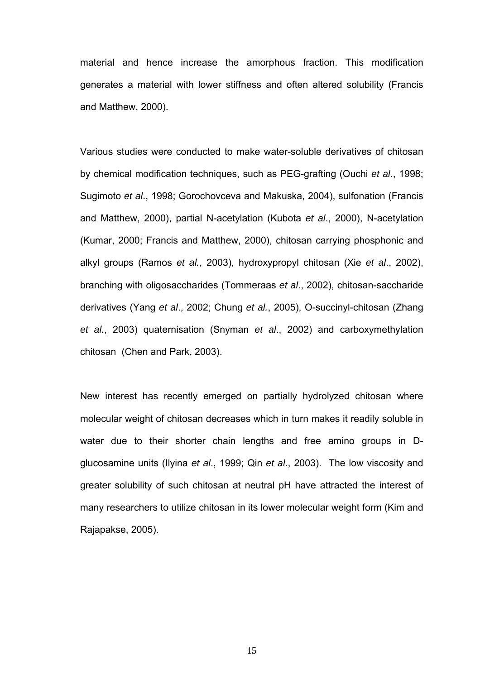material and hence increase the amorphous fraction. This modification generates a material with lower stiffness and often altered solubility (Francis and Matthew, 2000).

Various studies were conducted to make water-soluble derivatives of chitosan by chemical modification techniques, such as PEG-grafting (Ouchi *et al*., 1998; Sugimoto *et al*., 1998; Gorochovceva and Makuska, 2004), sulfonation (Francis and Matthew, 2000), partial N-acetylation (Kubota *et al*., 2000), N-acetylation (Kumar, 2000; Francis and Matthew, 2000), chitosan carrying phosphonic and alkyl groups (Ramos *et al.*, 2003), hydroxypropyl chitosan (Xie *et al*., 2002), branching with oligosaccharides (Tommeraas *et al*., 2002), chitosan-saccharide derivatives (Yang *et al*., 2002; Chung *et al.*, 2005), O-succinyl-chitosan (Zhang *et al.*, 2003) quaternisation (Snyman *et al*., 2002) and carboxymethylation chitosan (Chen and Park, 2003).

New interest has recently emerged on partially hydrolyzed chitosan where molecular weight of chitosan decreases which in turn makes it readily soluble in water due to their shorter chain lengths and free amino groups in Dglucosamine units (Ilyina *et al*., 1999; Qin *et al*., 2003). The low viscosity and greater solubility of such chitosan at neutral pH have attracted the interest of many researchers to utilize chitosan in its lower molecular weight form (Kim and Rajapakse, 2005).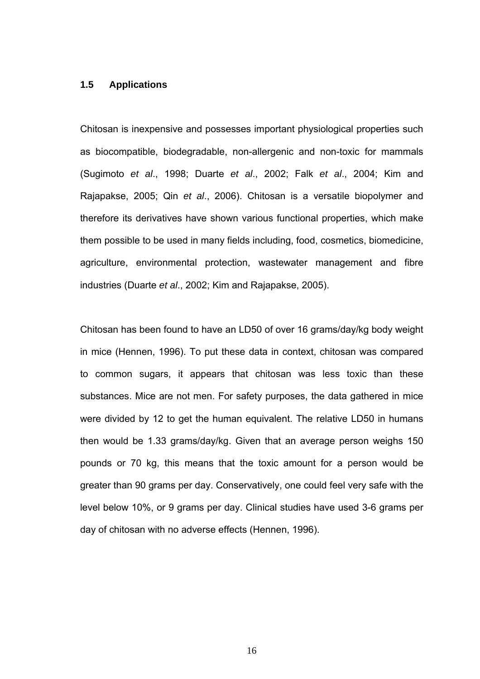### **1.5 Applications**

Chitosan is inexpensive and possesses important physiological properties such as biocompatible, biodegradable, non-allergenic and non-toxic for mammals (Sugimoto *et al*., 1998; Duarte *et al*., 2002; Falk *et al*., 2004; Kim and Rajapakse, 2005; Qin *et al*., 2006). Chitosan is a versatile biopolymer and therefore its derivatives have shown various functional properties, which make them possible to be used in many fields including, food, cosmetics, biomedicine, agriculture, environmental protection, wastewater management and fibre industries (Duarte *et al*., 2002; Kim and Rajapakse, 2005).

Chitosan has been found to have an LD50 of over 16 grams/day/kg body weight in mice (Hennen, 1996). To put these data in context, chitosan was compared to common sugars, it appears that chitosan was less toxic than these substances. Mice are not men. For safety purposes, the data gathered in mice were divided by 12 to get the human equivalent. The relative LD50 in humans then would be 1.33 grams/day/kg. Given that an average person weighs 150 pounds or 70 kg, this means that the toxic amount for a person would be greater than 90 grams per day. Conservatively, one could feel very safe with the level below 10%, or 9 grams per day. Clinical studies have used 3-6 grams per day of chitosan with no adverse effects (Hennen, 1996).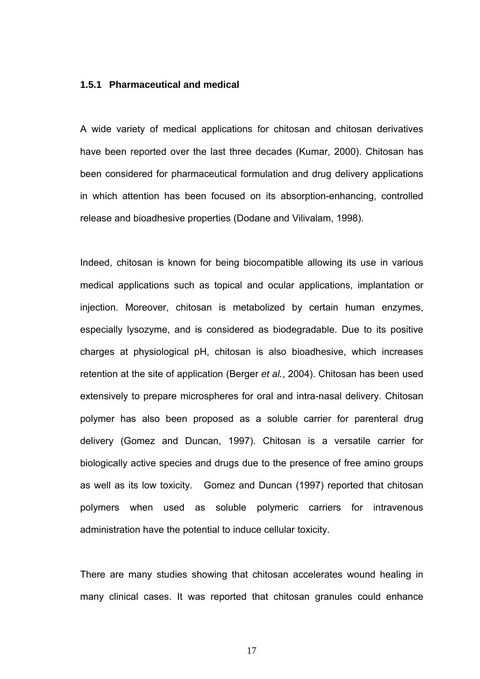### **1.5.1 Pharmaceutical and medical**

A wide variety of medical applications for chitosan and chitosan derivatives have been reported over the last three decades (Kumar, 2000). Chitosan has been considered for pharmaceutical formulation and drug delivery applications in which attention has been focused on its absorption-enhancing, controlled release and bioadhesive properties (Dodane and Vilivalam, 1998).

Indeed, chitosan is known for being biocompatible allowing its use in various medical applications such as topical and ocular applications, implantation or injection. Moreover, chitosan is metabolized by certain human enzymes, especially lysozyme, and is considered as biodegradable. Due to its positive charges at physiological pH, chitosan is also bioadhesive, which increases retention at the site of application (Berger *et al.*, 2004). Chitosan has been used extensively to prepare microspheres for oral and intra-nasal delivery. Chitosan polymer has also been proposed as a soluble carrier for parenteral drug delivery (Gomez and Duncan, 1997). Chitosan is a versatile carrier for biologically active species and drugs due to the presence of free amino groups as well as its low toxicity. Gomez and Duncan (1997) reported that chitosan polymers when used as soluble polymeric carriers for intravenous administration have the potential to induce cellular toxicity.

There are many studies showing that chitosan accelerates wound healing in many clinical cases. It was reported that chitosan granules could enhance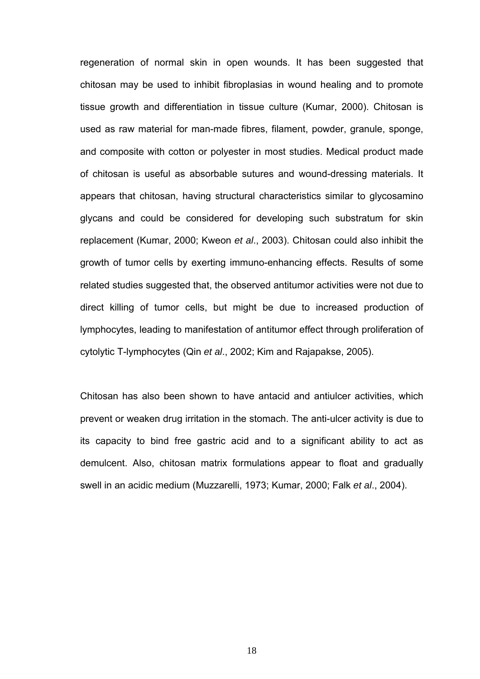regeneration of normal skin in open wounds. It has been suggested that chitosan may be used to inhibit fibroplasias in wound healing and to promote tissue growth and differentiation in tissue culture (Kumar, 2000). Chitosan is used as raw material for man-made fibres, filament, powder, granule, sponge, and composite with cotton or polyester in most studies. Medical product made of chitosan is useful as absorbable sutures and wound-dressing materials. It appears that chitosan, having structural characteristics similar to glycosamino glycans and could be considered for developing such substratum for skin replacement (Kumar, 2000; Kweon *et al*., 2003). Chitosan could also inhibit the growth of tumor cells by exerting immuno-enhancing effects. Results of some related studies suggested that, the observed antitumor activities were not due to direct killing of tumor cells, but might be due to increased production of lymphocytes, leading to manifestation of antitumor effect through proliferation of cytolytic T-lymphocytes (Qin *et al*., 2002; Kim and Rajapakse, 2005).

Chitosan has also been shown to have antacid and antiulcer activities, which prevent or weaken drug irritation in the stomach. The anti-ulcer activity is due to its capacity to bind free gastric acid and to a significant ability to act as demulcent. Also, chitosan matrix formulations appear to float and gradually swell in an acidic medium (Muzzarelli, 1973; Kumar, 2000; Falk *et al*., 2004).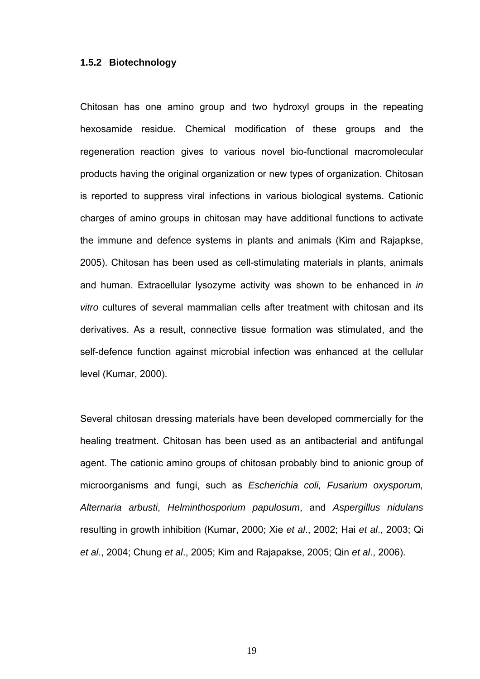# **1.5.2 Biotechnology**

Chitosan has one amino group and two hydroxyl groups in the repeating hexosamide residue. Chemical modification of these groups and the regeneration reaction gives to various novel bio-functional macromolecular products having the original organization or new types of organization. Chitosan is reported to suppress viral infections in various biological systems. Cationic charges of amino groups in chitosan may have additional functions to activate the immune and defence systems in plants and animals (Kim and Rajapkse, 2005). Chitosan has been used as cell-stimulating materials in plants, animals and human. Extracellular lysozyme activity was shown to be enhanced in *in vitro* cultures of several mammalian cells after treatment with chitosan and its derivatives. As a result, connective tissue formation was stimulated, and the self-defence function against microbial infection was enhanced at the cellular level (Kumar, 2000).

Several chitosan dressing materials have been developed commercially for the healing treatment. Chitosan has been used as an antibacterial and antifungal agent. The cationic amino groups of chitosan probably bind to anionic group of microorganisms and fungi, such as *Escherichia coli, Fusarium oxysporum, Alternaria arbusti*, *Helminthosporium papulosum*, and *Aspergillus nidulans*  resulting in growth inhibition (Kumar, 2000; Xie *et al*., 2002; Hai *et al*., 2003; Qi *et al*., 2004; Chung *et al*., 2005; Kim and Rajapakse, 2005; Qin *et al*., 2006).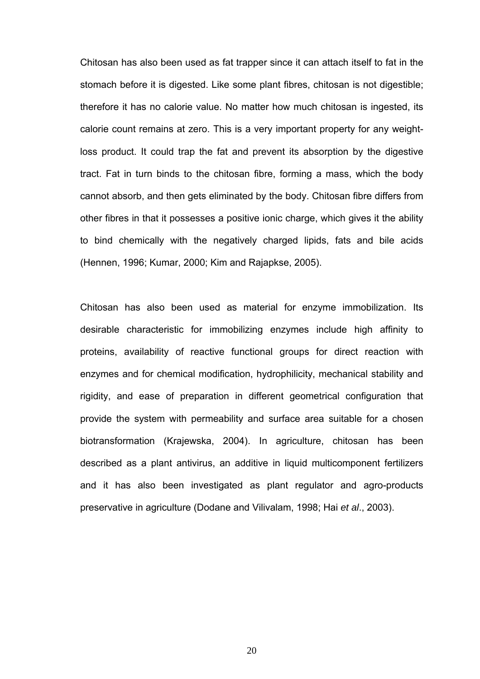Chitosan has also been used as fat trapper since it can attach itself to fat in the stomach before it is digested. Like some plant fibres, chitosan is not digestible; therefore it has no calorie value. No matter how much chitosan is ingested, its calorie count remains at zero. This is a very important property for any weightloss product. It could trap the fat and prevent its absorption by the digestive tract. Fat in turn binds to the chitosan fibre, forming a mass, which the body cannot absorb, and then gets eliminated by the body. Chitosan fibre differs from other fibres in that it possesses a positive ionic charge, which gives it the ability to bind chemically with the negatively charged lipids, fats and bile acids (Hennen, 1996; Kumar, 2000; Kim and Rajapkse, 2005).

Chitosan has also been used as material for enzyme immobilization. Its desirable characteristic for immobilizing enzymes include high affinity to proteins, availability of reactive functional groups for direct reaction with enzymes and for chemical modification, hydrophilicity, mechanical stability and rigidity, and ease of preparation in different geometrical configuration that provide the system with permeability and surface area suitable for a chosen biotransformation (Krajewska, 2004). In agriculture, chitosan has been described as a plant antivirus, an additive in liquid multicomponent fertilizers and it has also been investigated as plant regulator and agro-products preservative in agriculture (Dodane and Vilivalam, 1998; Hai *et al*., 2003).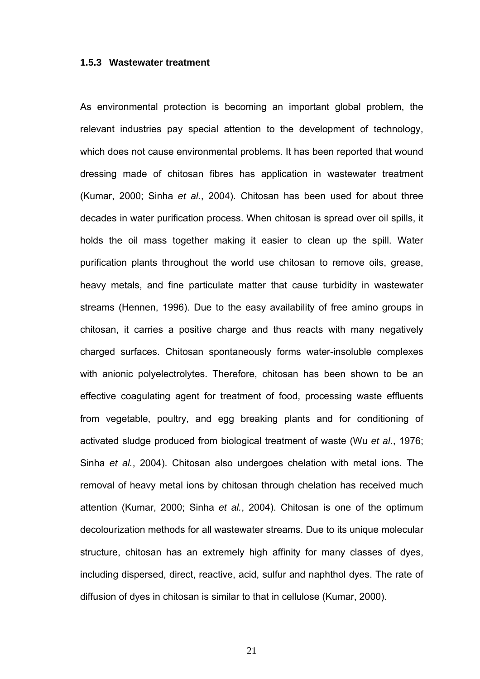#### **1.5.3 Wastewater treatment**

As environmental protection is becoming an important global problem, the relevant industries pay special attention to the development of technology, which does not cause environmental problems. It has been reported that wound dressing made of chitosan fibres has application in wastewater treatment (Kumar, 2000; Sinha *et al.*, 2004). Chitosan has been used for about three decades in water purification process. When chitosan is spread over oil spills, it holds the oil mass together making it easier to clean up the spill. Water purification plants throughout the world use chitosan to remove oils, grease, heavy metals, and fine particulate matter that cause turbidity in wastewater streams (Hennen, 1996). Due to the easy availability of free amino groups in chitosan, it carries a positive charge and thus reacts with many negatively charged surfaces. Chitosan spontaneously forms water-insoluble complexes with anionic polyelectrolytes. Therefore, chitosan has been shown to be an effective coagulating agent for treatment of food, processing waste effluents from vegetable, poultry, and egg breaking plants and for conditioning of activated sludge produced from biological treatment of waste (Wu *et al*., 1976; Sinha *et al.*, 2004). Chitosan also undergoes chelation with metal ions. The removal of heavy metal ions by chitosan through chelation has received much attention (Kumar, 2000; Sinha *et al.*, 2004). Chitosan is one of the optimum decolourization methods for all wastewater streams. Due to its unique molecular structure, chitosan has an extremely high affinity for many classes of dyes, including dispersed, direct, reactive, acid, sulfur and naphthol dyes. The rate of diffusion of dyes in chitosan is similar to that in cellulose (Kumar, 2000).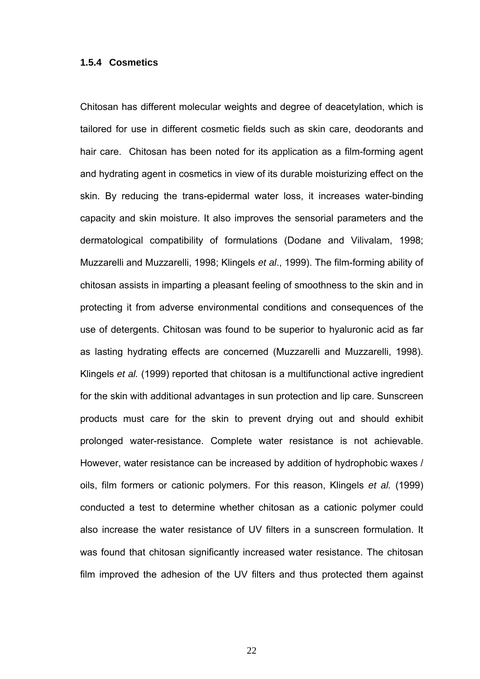# **1.5.4 Cosmetics**

Chitosan has different molecular weights and degree of deacetylation, which is tailored for use in different cosmetic fields such as skin care, deodorants and hair care. Chitosan has been noted for its application as a film-forming agent and hydrating agent in cosmetics in view of its durable moisturizing effect on the skin. By reducing the trans-epidermal water loss, it increases water-binding capacity and skin moisture. It also improves the sensorial parameters and the dermatological compatibility of formulations (Dodane and Vilivalam, 1998; Muzzarelli and Muzzarelli, 1998; Klingels *et al*., 1999). The film-forming ability of chitosan assists in imparting a pleasant feeling of smoothness to the skin and in protecting it from adverse environmental conditions and consequences of the use of detergents. Chitosan was found to be superior to hyaluronic acid as far as lasting hydrating effects are concerned (Muzzarelli and Muzzarelli, 1998). Klingels *et al.* (1999) reported that chitosan is a multifunctional active ingredient for the skin with additional advantages in sun protection and lip care. Sunscreen products must care for the skin to prevent drying out and should exhibit prolonged water-resistance. Complete water resistance is not achievable. However, water resistance can be increased by addition of hydrophobic waxes / oils, film formers or cationic polymers. For this reason, Klingels *et al.* (1999) conducted a test to determine whether chitosan as a cationic polymer could also increase the water resistance of UV filters in a sunscreen formulation. It was found that chitosan significantly increased water resistance. The chitosan film improved the adhesion of the UV filters and thus protected them against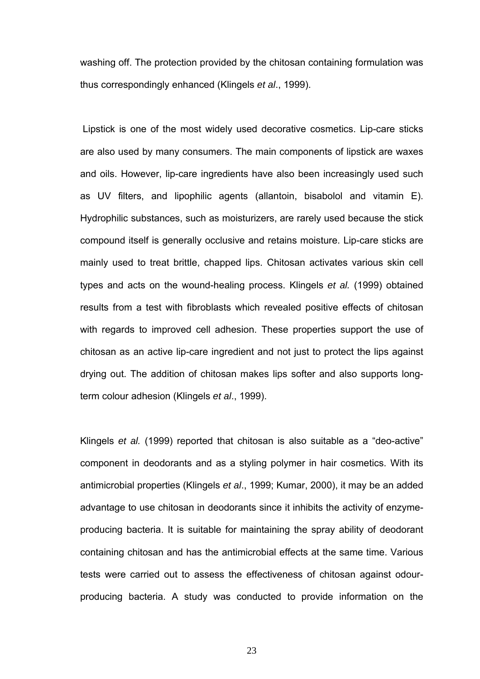washing off. The protection provided by the chitosan containing formulation was thus correspondingly enhanced (Klingels *et al*., 1999).

 Lipstick is one of the most widely used decorative cosmetics. Lip-care sticks are also used by many consumers. The main components of lipstick are waxes and oils. However, lip-care ingredients have also been increasingly used such as UV filters, and lipophilic agents (allantoin, bisabolol and vitamin E). Hydrophilic substances, such as moisturizers, are rarely used because the stick compound itself is generally occlusive and retains moisture. Lip-care sticks are mainly used to treat brittle, chapped lips. Chitosan activates various skin cell types and acts on the wound-healing process. Klingels *et al.* (1999) obtained results from a test with fibroblasts which revealed positive effects of chitosan with regards to improved cell adhesion. These properties support the use of chitosan as an active lip-care ingredient and not just to protect the lips against drying out. The addition of chitosan makes lips softer and also supports longterm colour adhesion (Klingels *et al*., 1999).

Klingels *et al.* (1999) reported that chitosan is also suitable as a "deo-active" component in deodorants and as a styling polymer in hair cosmetics. With its antimicrobial properties (Klingels *et al*., 1999; Kumar, 2000), it may be an added advantage to use chitosan in deodorants since it inhibits the activity of enzymeproducing bacteria. It is suitable for maintaining the spray ability of deodorant containing chitosan and has the antimicrobial effects at the same time. Various tests were carried out to assess the effectiveness of chitosan against odourproducing bacteria. A study was conducted to provide information on the